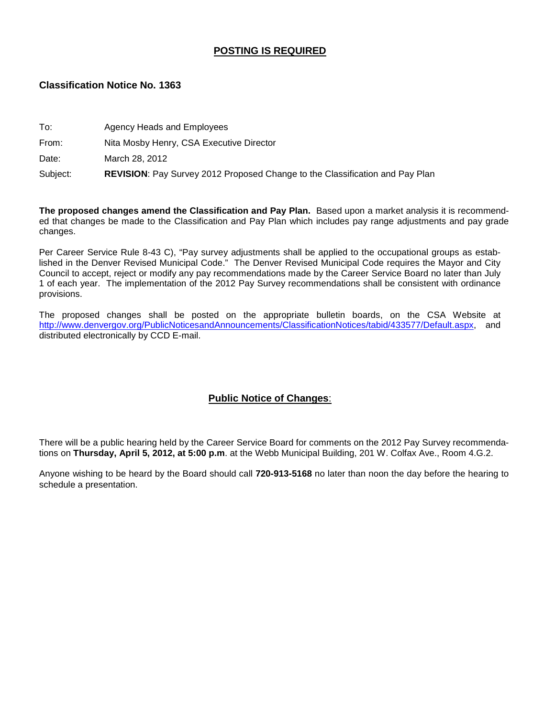## **POSTING IS REQUIRED**

### **Classification Notice No. 1363**

| Subject: | <b>REVISION:</b> Pay Survey 2012 Proposed Change to the Classification and Pay Plan |
|----------|-------------------------------------------------------------------------------------|
| Date:    | March 28, 2012                                                                      |
| From:    | Nita Mosby Henry, CSA Executive Director                                            |
| To:      | Agency Heads and Employees                                                          |

**The proposed changes amend the Classification and Pay Plan.** Based upon a market analysis it is recommended that changes be made to the Classification and Pay Plan which includes pay range adjustments and pay grade changes.

Per Career Service Rule 8-43 C), "Pay survey adjustments shall be applied to the occupational groups as established in the Denver Revised Municipal Code." The Denver Revised Municipal Code requires the Mayor and City Council to accept, reject or modify any pay recommendations made by the Career Service Board no later than July 1 of each year. The implementation of the 2012 Pay Survey recommendations shall be consistent with ordinance provisions.

The proposed changes shall be posted on the appropriate bulletin boards, on the CSA Website at [http://www.denvergov.org/PublicNoticesandAnnouncements/ClassificationNotices/tabid/433577/Default.aspx,](http://www.denvergov.org/PublicNoticesandAnnouncements/ClassificationNotices/tabid/433577/Default.aspx) and distributed electronically by CCD E-mail.

## **Public Notice of Changes**:

There will be a public hearing held by the Career Service Board for comments on the 2012 Pay Survey recommendations on **Thursday, April 5, 2012, at 5:00 p.m**. at the Webb Municipal Building, 201 W. Colfax Ave., Room 4.G.2.

Anyone wishing to be heard by the Board should call **720-913-5168** no later than noon the day before the hearing to schedule a presentation.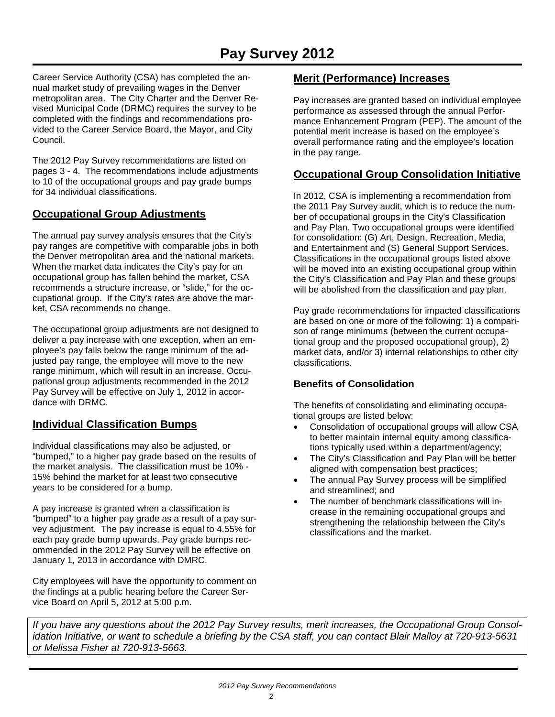# **Pay Survey 2012**

Career Service Authority (CSA) has completed the annual market study of prevailing wages in the Denver metropolitan area. The City Charter and the Denver Revised Municipal Code (DRMC) requires the survey to be completed with the findings and recommendations provided to the Career Service Board, the Mayor, and City Council.

The 2012 Pay Survey recommendations are listed on pages 3 - 4. The recommendations include adjustments to 10 of the occupational groups and pay grade bumps for 34 individual classifications.

## **Occupational Group Adjustments**

The annual pay survey analysis ensures that the City's pay ranges are competitive with comparable jobs in both the Denver metropolitan area and the national markets. When the market data indicates the City's pay for an occupational group has fallen behind the market, CSA recommends a structure increase, or "slide," for the occupational group. If the City's rates are above the market, CSA recommends no change.

The occupational group adjustments are not designed to deliver a pay increase with one exception, when an employee's pay falls below the range minimum of the adjusted pay range, the employee will move to the new range minimum, which will result in an increase. Occupational group adjustments recommended in the 2012 Pay Survey will be effective on July 1, 2012 in accordance with DRMC.

## **Individual Classification Bumps**

Individual classifications may also be adjusted, or "bumped," to a higher pay grade based on the results of the market analysis. The classification must be 10% - 15% behind the market for at least two consecutive years to be considered for a bump.

A pay increase is granted when a classification is "bumped" to a higher pay grade as a result of a pay survey adjustment. The pay increase is equal to 4.55% for each pay grade bump upwards. Pay grade bumps recommended in the 2012 Pay Survey will be effective on January 1, 2013 in accordance with DMRC.

City employees will have the opportunity to comment on the findings at a public hearing before the Career Service Board on April 5, 2012 at 5:00 p.m.

## **Merit (Performance) Increases**

Pay increases are granted based on individual employee performance as assessed through the annual Performance Enhancement Program (PEP). The amount of the potential merit increase is based on the employee's overall performance rating and the employee's location in the pay range.

## **Occupational Group Consolidation Initiative**

In 2012, CSA is implementing a recommendation from the 2011 Pay Survey audit, which is to reduce the number of occupational groups in the City's Classification and Pay Plan. Two occupational groups were identified for consolidation: (G) Art, Design, Recreation, Media, and Entertainment and (S) General Support Services. Classifications in the occupational groups listed above will be moved into an existing occupational group within the City's Classification and Pay Plan and these groups will be abolished from the classification and pay plan.

Pay grade recommendations for impacted classifications are based on one or more of the following: 1) a comparison of range minimums (between the current occupational group and the proposed occupational group), 2) market data, and/or 3) internal relationships to other city classifications.

## **Benefits of Consolidation**

The benefits of consolidating and eliminating occupational groups are listed below:

- Consolidation of occupational groups will allow CSA to better maintain internal equity among classifications typically used within a department/agency;
- The City's Classification and Pay Plan will be better aligned with compensation best practices;
- The annual Pay Survey process will be simplified and streamlined; and
- The number of benchmark classifications will increase in the remaining occupational groups and strengthening the relationship between the City's classifications and the market.

*If you have any questions about the 2012 Pay Survey results, merit increases, the Occupational Group Consolidation Initiative, or want to schedule a briefing by the CSA staff, you can contact Blair Malloy at 720-913-5631 or Melissa Fisher at 720-913-5663.*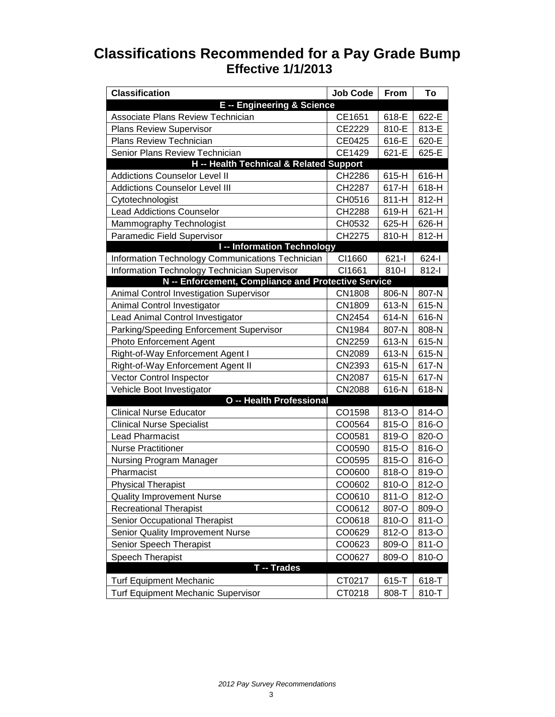# **Classifications Recommended for a Pay Grade Bump Effective 1/1/2013**

| <b>Classification</b>                               | <b>Job Code</b> | From    | To      |
|-----------------------------------------------------|-----------------|---------|---------|
| <b>E-- Engineering &amp; Science</b>                |                 |         |         |
| Associate Plans Review Technician                   | CE1651          | 618-E   | 622-E   |
| <b>Plans Review Supervisor</b>                      | CE2229          | 810-E   | 813-E   |
| <b>Plans Review Technician</b>                      | CE0425          | 616-E   | 620-E   |
| Senior Plans Review Technician                      | CE1429          | 621-E   | 625-E   |
| H -- Health Technical & Related Support             |                 |         |         |
| <b>Addictions Counselor Level II</b>                | CH2286          | 615-H   | 616-H   |
| <b>Addictions Counselor Level III</b>               | CH2287          | 617-H   | 618-H   |
| Cytotechnologist                                    | CH0516          | $811-H$ | 812-H   |
| <b>Lead Addictions Counselor</b>                    | CH2288          | 619-H   | 621-H   |
| Mammography Technologist                            | CH0532          | 625-H   | 626-H   |
| Paramedic Field Supervisor                          | CH2275          | 810-H   | 812-H   |
| <b>I-- Information Technology</b>                   |                 |         |         |
| Information Technology Communications Technician    | CI1660          | $621 -$ | $624 -$ |
| Information Technology Technician Supervisor        | CI1661          | 810-l   | $812-I$ |
| N -- Enforcement, Compliance and Protective Service |                 |         |         |
| Animal Control Investigation Supervisor             | <b>CN1808</b>   | 806-N   | 807-N   |
| Animal Control Investigator                         | CN1809          | 613-N   | 615-N   |
| Lead Animal Control Investigator                    | CN2454          | 614-N   | 616-N   |
| Parking/Speeding Enforcement Supervisor             | <b>CN1984</b>   | 807-N   | 808-N   |
| <b>Photo Enforcement Agent</b>                      | CN2259          | 613-N   | 615-N   |
| Right-of-Way Enforcement Agent I                    | CN2089          | 613-N   | 615-N   |
| Right-of-Way Enforcement Agent II                   | CN2393          | 615-N   | 617-N   |
| Vector Control Inspector                            | <b>CN2087</b>   | 615-N   | 617-N   |
| Vehicle Boot Investigator                           | <b>CN2088</b>   | 616-N   | 618-N   |
| O -- Health Professional                            |                 |         |         |
| <b>Clinical Nurse Educator</b>                      | CO1598          | 813-O   | 814-O   |
| <b>Clinical Nurse Specialist</b>                    | CO0564          | 815-O   | 816-O   |
| <b>Lead Pharmacist</b>                              | CO0581          | 819-O   | 820-O   |
| <b>Nurse Practitioner</b>                           | CO0590          | 815-O   | 816-O   |
| <b>Nursing Program Manager</b>                      | CO0595          | 815-O   | 816-O   |
| Pharmacist                                          | CO0600          | 818-O   | 819-O   |
| <b>Physical Therapist</b>                           | CO0602          | 810-O   | 812-O   |
| <b>Quality Improvement Nurse</b>                    | CO0610          | 811-O   | 812-O   |
| <b>Recreational Therapist</b>                       | CO0612          | 807-O   | 809-O   |
| Senior Occupational Therapist                       | CO0618          | 810-O   | 811-O   |
| Senior Quality Improvement Nurse                    | CO0629          | 812-O   | 813-O   |
| Senior Speech Therapist                             | CO0623          | 809-O   | 811-O   |
| <b>Speech Therapist</b>                             | CO0627          | 809-O   | 810-O   |
| T -- Trades                                         |                 |         |         |
| <b>Turf Equipment Mechanic</b>                      | CT0217          | 615-T   | 618-T   |
| <b>Turf Equipment Mechanic Supervisor</b>           | CT0218          | 808-T   | 810-T   |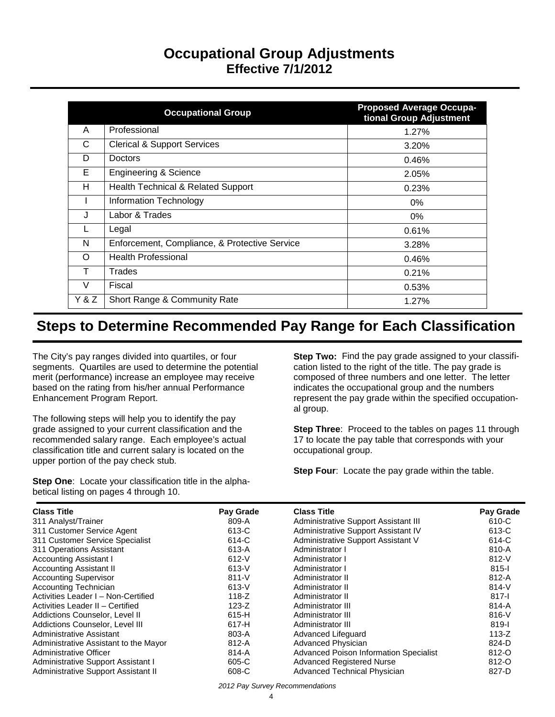# **Occupational Group Adjustments Effective 7/1/2012**

|       | <b>Occupational Group</b>                     | <b>Proposed Average Occupa-</b><br>tional Group Adjustment |
|-------|-----------------------------------------------|------------------------------------------------------------|
| A     | Professional                                  | 1.27%                                                      |
| С     | <b>Clerical &amp; Support Services</b>        | 3.20%                                                      |
| D     | <b>Doctors</b>                                | 0.46%                                                      |
| Е     | <b>Engineering &amp; Science</b>              | 2.05%                                                      |
| H     | Health Technical & Related Support            | 0.23%                                                      |
| I.    | Information Technology                        | 0%                                                         |
| J     | Labor & Trades                                | 0%                                                         |
|       | Legal                                         | 0.61%                                                      |
| N     | Enforcement, Compliance, & Protective Service | 3.28%                                                      |
| O     | <b>Health Professional</b>                    | 0.46%                                                      |
| Т     | Trades                                        | 0.21%                                                      |
| V     | Fiscal                                        | 0.53%                                                      |
| Y & Z | Short Range & Community Rate                  | 1.27%                                                      |

# **Steps to Determine Recommended Pay Range for Each Classification**

The City's pay ranges divided into quartiles, or four segments. Quartiles are used to determine the potential merit (performance) increase an employee may receive based on the rating from his/her annual Performance Enhancement Program Report.

The following steps will help you to identify the pay grade assigned to your current classification and the recommended salary range. Each employee's actual classification title and current salary is located on the upper portion of the pay check stub.

**Step One**: Locate your classification title in the alphabetical listing on pages 4 through 10.

**Step Two:** Find the pay grade assigned to your classification listed to the right of the title. The pay grade is composed of three numbers and one letter. The letter indicates the occupational group and the numbers represent the pay grade within the specified occupational group.

**Step Three:** Proceed to the tables on pages 11 through 17 to locate the pay table that corresponds with your occupational group.

**Step Four:** Locate the pay grade within the table.

| <b>Class Title</b>                    | Pay Grade | <b>Class Title</b>                            | Pay Grade |
|---------------------------------------|-----------|-----------------------------------------------|-----------|
| 311 Analyst/Trainer                   | 809-A     | Administrative Support Assistant III          | 610-C     |
| 311 Customer Service Agent            | 613-C     | Administrative Support Assistant IV           | 613-C     |
| 311 Customer Service Specialist       | 614-C     | Administrative Support Assistant V            | 614-C     |
| 311 Operations Assistant              | 613-A     | Administrator I                               | 810-A     |
| <b>Accounting Assistant I</b>         | $612-V$   | Administrator I                               | $812 - V$ |
| <b>Accounting Assistant II</b>        | $613-V$   | Administrator I                               | $815 -$   |
| <b>Accounting Supervisor</b>          | $811-V$   | Administrator II                              | $812-A$   |
| <b>Accounting Technician</b>          | $613-V$   | Administrator II                              | $814 - V$ |
| Activities Leader I - Non-Certified   | $118-Z$   | Administrator II                              | $817 -$   |
| Activities Leader II - Certified      | $123-Z$   | Administrator III                             | $814-A$   |
| Addictions Counselor, Level II        | 615-H     | Administrator III                             | $816-V$   |
| Addictions Counselor, Level III       | 617-H     | Administrator III                             | 819-l     |
| Administrative Assistant              | 803-A     | Advanced Lifeguard                            | $113-Z$   |
| Administrative Assistant to the Mayor | $812-A$   | Advanced Physician                            | 824-D     |
| Administrative Officer                | 814-A     | <b>Advanced Poison Information Specialist</b> | 812-O     |
| Administrative Support Assistant I    | 605-C     | <b>Advanced Registered Nurse</b>              | 812-O     |
| Administrative Support Assistant II   | 608-C     | Advanced Technical Physician                  | 827-D     |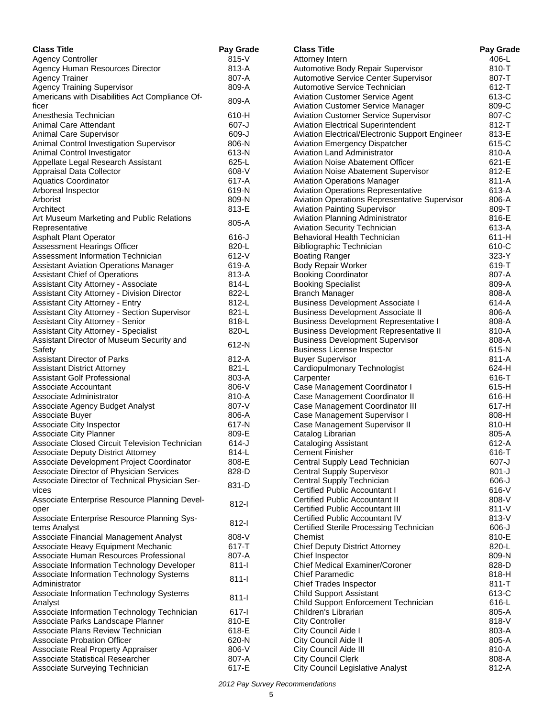| <b>Class Title</b>                                                     | Pay Grade | <b>Class Title</b>                              | <b>Pay Grade</b> |
|------------------------------------------------------------------------|-----------|-------------------------------------------------|------------------|
| <b>Agency Controller</b>                                               | $815 - V$ | Attorney Intern                                 | 406-L            |
| Agency Human Resources Director                                        | 813-A     | Automotive Body Repair Supervisor               | 810-T            |
| <b>Agency Trainer</b>                                                  | 807-A     | Automotive Service Center Supervisor            | 807-T            |
| <b>Agency Training Supervisor</b>                                      | 809-A     | Automotive Service Technician                   | 612-T            |
| Americans with Disabilities Act Compliance Of-                         | 809-A     | <b>Aviation Customer Service Agent</b>          | 613-C            |
| ficer                                                                  |           | <b>Aviation Customer Service Manager</b>        | 809-C            |
| Anesthesia Technician                                                  | 610-H     | <b>Aviation Customer Service Supervisor</b>     | 807-C            |
| Animal Care Attendant                                                  | 607-J     | <b>Aviation Electrical Superintendent</b>       | 812-T            |
| Animal Care Supervisor                                                 | 609-J     | Aviation Electrical/Electronic Support Engineer | 813-E            |
| Animal Control Investigation Supervisor                                | 806-N     | <b>Aviation Emergency Dispatcher</b>            | 615-C            |
| Animal Control Investigator                                            | 613-N     | <b>Aviation Land Administrator</b>              | 810-A            |
| Appellate Legal Research Assistant                                     | 625-L     | <b>Aviation Noise Abatement Officer</b>         | 621-E            |
| Appraisal Data Collector                                               | 608-V     | <b>Aviation Noise Abatement Supervisor</b>      | 812-E            |
| <b>Aquatics Coordinator</b>                                            | 617-A     | <b>Aviation Operations Manager</b>              | 811-A            |
| Arboreal Inspector                                                     | 619-N     | <b>Aviation Operations Representative</b>       | 613-A            |
| Arborist                                                               | 809-N     | Aviation Operations Representative Supervisor   | 806-A            |
| Architect                                                              | 813-E     | Aviation Painting Supervisor                    | 809-T            |
| Art Museum Marketing and Public Relations                              | 805-A     | Aviation Planning Administrator                 | 816-E            |
| Representative                                                         |           | <b>Aviation Security Technician</b>             | 613-A            |
| <b>Asphalt Plant Operator</b>                                          | $616 - J$ | Behavioral Health Technician                    | 611-H            |
| Assessment Hearings Officer                                            | 820-L     | Bibliographic Technician                        | 610-C            |
| Assessment Information Technician                                      | $612 - V$ | <b>Boating Ranger</b>                           | $323-Y$          |
| <b>Assistant Aviation Operations Manager</b>                           | 619-A     | <b>Body Repair Worker</b>                       | 619-T            |
| Assistant Chief of Operations                                          | 813-A     | <b>Booking Coordinator</b>                      | 807-A            |
| Assistant City Attorney - Associate                                    | 814-L     | <b>Booking Specialist</b>                       | 809-A            |
| Assistant City Attorney - Division Director                            | 822-L     | <b>Branch Manager</b>                           | 808-A            |
| <b>Assistant City Attorney - Entry</b>                                 | 812-L     | <b>Business Development Associate I</b>         | 614-A            |
| Assistant City Attorney - Section Supervisor                           | 821-L     | <b>Business Development Associate II</b>        | 806-A            |
| Assistant City Attorney - Senior                                       | 818-L     | <b>Business Development Representative I</b>    | 808-A            |
| <b>Assistant City Attorney - Specialist</b>                            | 820-L     | <b>Business Development Representative II</b>   | 810-A            |
| Assistant Director of Museum Security and                              |           | <b>Business Development Supervisor</b>          | 808-A            |
| Safety                                                                 | 612-N     | <b>Business License Inspector</b>               | 615-N            |
| <b>Assistant Director of Parks</b>                                     | 812-A     | <b>Buyer Supervisor</b>                         | 811-A            |
| <b>Assistant District Attorney</b>                                     | 821-L     | Cardiopulmonary Technologist                    | 624-H            |
| Assistant Golf Professional                                            | 803-A     | Carpenter                                       | 616-T            |
| Associate Accountant                                                   | 806-V     | Case Management Coordinator I                   | 615-H            |
| Associate Administrator                                                | 810-A     | Case Management Coordinator II                  | 616-H            |
| Associate Agency Budget Analyst                                        | 807-V     | Case Management Coordinator III                 | 617-H            |
| Associate Buyer                                                        | 806-A     | Case Management Supervisor I                    | 808-H            |
| Associate City Inspector                                               | 617-N     | Case Management Supervisor II                   | 810-H            |
| Associate City Planner                                                 | 809-E     | Catalog Librarian                               | 805-A            |
| Associate Closed Circuit Television Technician                         | 614-J     | Cataloging Assistant                            | 612-A            |
| Associate Deputy District Attorney                                     | 814-L     | <b>Cement Finisher</b>                          | 616-T            |
| Associate Development Project Coordinator                              | 808-E     | Central Supply Lead Technician                  | 607-J            |
| Associate Director of Physician Services                               | 828-D     | <b>Central Supply Supervisor</b>                | $801-J$          |
| Associate Director of Technical Physician Ser-                         |           | Central Supply Technician                       | $606 - J$        |
| vices                                                                  | 831-D     | Certified Public Accountant I                   | 616-V            |
| Associate Enterprise Resource Planning Devel-                          |           | Certified Public Accountant II                  | 808-V            |
| oper                                                                   | $812 - 1$ | <b>Certified Public Accountant III</b>          | $811 - V$        |
| Associate Enterprise Resource Planning Sys-                            |           | Certified Public Accountant IV                  | 813-V            |
| tems Analyst                                                           | $812 - 1$ | Certified Sterile Processing Technician         | $606 - J$        |
| Associate Financial Management Analyst                                 | 808-V     | Chemist                                         | 810-E            |
| Associate Heavy Equipment Mechanic                                     | 617-T     | <b>Chief Deputy District Attorney</b>           | 820-L            |
| Associate Human Resources Professional                                 | 807-A     | Chief Inspector                                 | 809-N            |
| Associate Information Technology Developer                             | $811 -$   | Chief Medical Examiner/Coroner                  | 828-D            |
| Associate Information Technology Systems                               |           | <b>Chief Paramedic</b>                          | 818-H            |
| Administrator                                                          | $811 -$   | <b>Chief Trades Inspector</b>                   | $811 - T$        |
| Associate Information Technology Systems                               |           | <b>Child Support Assistant</b>                  | 613-C            |
|                                                                        | $811-I$   | Child Support Enforcement Technician            | 616-L            |
| Analyst                                                                | $617 - 1$ | Children's Librarian                            | 805-A            |
| Associate Information Technology Technician                            | 810-E     | <b>City Controller</b>                          | 818-V            |
| Associate Parks Landscape Planner<br>Associate Plans Review Technician | 618-E     |                                                 | 803-A            |
|                                                                        |           | City Council Aide I                             |                  |
| <b>Associate Probation Officer</b>                                     | 620-N     | City Council Aide II                            | 805-A            |
| Associate Real Property Appraiser                                      | 806-V     | City Council Aide III                           | 810-A            |
| Associate Statistical Researcher                                       | 807-A     | <b>City Council Clerk</b>                       | 808-A            |
| Associate Surveying Technician                                         | 617-E     | City Council Legislative Analyst                | 812-A            |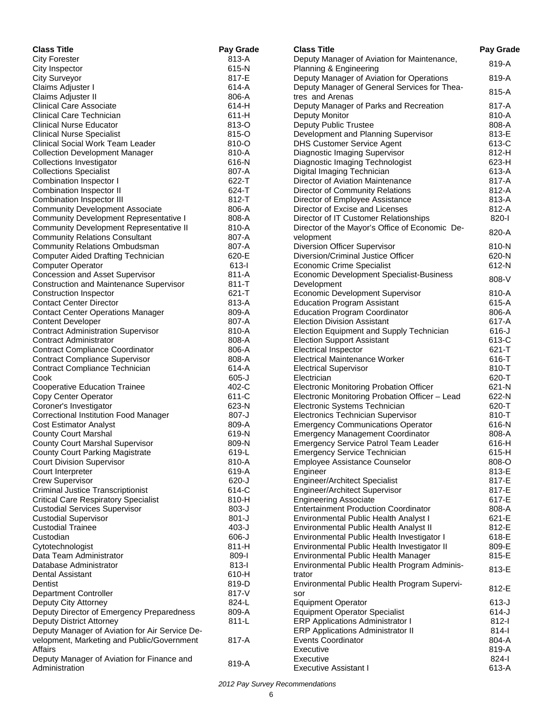| <b>Class Title</b>                                                         | Pay Grade      | <b>Class Title</b>                                             | Pay Grade      |
|----------------------------------------------------------------------------|----------------|----------------------------------------------------------------|----------------|
| <b>City Forester</b>                                                       | 813-A          | Deputy Manager of Aviation for Maintenance,                    | 819-A          |
| City Inspector                                                             | 615-N          | Planning & Engineering                                         |                |
| <b>City Surveyor</b>                                                       | 817-E          | Deputy Manager of Aviation for Operations                      | 819-A          |
| Claims Adjuster I                                                          | 614-A          | Deputy Manager of General Services for Thea-                   | 815-A          |
| Claims Adjuster II                                                         | 806-A          | tres and Arenas                                                |                |
| <b>Clinical Care Associate</b>                                             | 614-H          | Deputy Manager of Parks and Recreation                         | 817-A          |
| Clinical Care Technician                                                   | $611-H$        | Deputy Monitor                                                 | 810-A          |
| <b>Clinical Nurse Educator</b>                                             | 813-O          | Deputy Public Trustee                                          | 808-A          |
| <b>Clinical Nurse Specialist</b>                                           | 815-O          | Development and Planning Supervisor                            | 813-E          |
| <b>Clinical Social Work Team Leader</b>                                    | 810-O          | <b>DHS Customer Service Agent</b>                              | 613-C          |
| <b>Collection Development Manager</b>                                      | 810-A          | Diagnostic Imaging Supervisor                                  | 812-H          |
| Collections Investigator                                                   | 616-N          | Diagnostic Imaging Technologist                                | $623-H$        |
| <b>Collections Specialist</b>                                              | 807-A<br>622-T | Digital Imaging Technician<br>Director of Aviation Maintenance | 613-A<br>817-A |
| Combination Inspector I<br>Combination Inspector II                        | 624-T          | Director of Community Relations                                | 812-A          |
| Combination Inspector III                                                  | 812-T          | Director of Employee Assistance                                | 813-A          |
| <b>Community Development Associate</b>                                     | 806-A          | Director of Excise and Licenses                                | 812-A          |
| <b>Community Development Representative I</b>                              | 808-A          | Director of IT Customer Relationships                          | 820-l          |
| <b>Community Development Representative II</b>                             | 810-A          | Director of the Mayor's Office of Economic De-                 |                |
| <b>Community Relations Consultant</b>                                      | 807-A          | velopment                                                      | 820-A          |
| <b>Community Relations Ombudsman</b>                                       | 807-A          | Diversion Officer Supervisor                                   | 810-N          |
| Computer Aided Drafting Technician                                         | 620-E          | Diversion/Criminal Justice Officer                             | 620-N          |
| <b>Computer Operator</b>                                                   | $613 - 1$      | <b>Economic Crime Specialist</b>                               | 612-N          |
| Concession and Asset Supervisor                                            | 811-A          | Economic Development Specialist-Business                       |                |
| Construction and Maintenance Supervisor                                    | 811-T          | Development                                                    | 808-V          |
| Construction Inspector                                                     | $621 - T$      | Economic Development Supervisor                                | 810-A          |
| <b>Contact Center Director</b>                                             | 813-A          | <b>Education Program Assistant</b>                             | 615-A          |
| <b>Contact Center Operations Manager</b>                                   | 809-A          | <b>Education Program Coordinator</b>                           | 806-A          |
| <b>Content Developer</b>                                                   | 807-A          | <b>Election Division Assistant</b>                             | 617-A          |
| <b>Contract Administration Supervisor</b>                                  | 810-A          | Election Equipment and Supply Technician                       | $616 - J$      |
| <b>Contract Administrator</b>                                              | 808-A          | <b>Election Support Assistant</b>                              | 613-C          |
| <b>Contract Compliance Coordinator</b>                                     | 806-A          | <b>Electrical Inspector</b>                                    | $621 - T$      |
| <b>Contract Compliance Supervisor</b>                                      | 808-A          | <b>Electrical Maintenance Worker</b>                           | 616-T          |
| Contract Compliance Technician                                             | 614-A          | <b>Electrical Supervisor</b>                                   | 810-T          |
| Cook                                                                       | $605 - J$      | Electrician                                                    | 620-T          |
| <b>Cooperative Education Trainee</b>                                       | 402-C          | <b>Electronic Monitoring Probation Officer</b>                 | 621-N          |
| Copy Center Operator                                                       | 611-C          | Electronic Monitoring Probation Officer - Lead                 | 622-N          |
| Coroner's Investigator                                                     | 623-N          | Electronic Systems Technician                                  | 620-T          |
| <b>Correctional Institution Food Manager</b>                               | $807 - J$      | Electronics Technician Supervisor                              | 810-T          |
| <b>Cost Estimator Analyst</b>                                              | 809-A          | <b>Emergency Communications Operator</b>                       | 616-N          |
| <b>County Court Marshal</b>                                                | 619-N          | <b>Emergency Management Coordinator</b>                        | 808-A          |
| <b>County Court Marshal Supervisor</b>                                     | 809-N          | <b>Emergency Service Patrol Team Leader</b>                    | 616-H          |
| <b>County Court Parking Magistrate</b><br><b>Court Division Supervisor</b> | 619-L<br>810-A | <b>Emergency Service Technician</b>                            | 615-H<br>808-O |
| Court Interpreter                                                          | 619-A          | <b>Employee Assistance Counselor</b><br>Engineer               | 813-E          |
| <b>Crew Supervisor</b>                                                     | $620 - J$      | <b>Engineer/Architect Specialist</b>                           | 817-E          |
| <b>Criminal Justice Transcriptionist</b>                                   | 614-C          | Engineer/Architect Supervisor                                  | 817-E          |
| <b>Critical Care Respiratory Specialist</b>                                | 810-H          | <b>Engineering Associate</b>                                   | 617-E          |
| <b>Custodial Services Supervisor</b>                                       | $803-J$        | <b>Entertainment Production Coordinator</b>                    | 808-A          |
| <b>Custodial Supervisor</b>                                                | $801 - J$      | Environmental Public Health Analyst I                          | 621-E          |
| <b>Custodial Trainee</b>                                                   | $403 - J$      | Environmental Public Health Analyst II                         | 812-E          |
| Custodian                                                                  | $606 - J$      | Environmental Public Health Investigator I                     | 618-E          |
| Cytotechnologist                                                           | 811-H          | Environmental Public Health Investigator II                    | 809-E          |
| Data Team Administrator                                                    | 809-l          | Environmental Public Health Manager                            | 815-E          |
| Database Administrator                                                     | $813-I$        | Environmental Public Health Program Adminis-                   |                |
| <b>Dental Assistant</b>                                                    | 610-H          | trator                                                         | 813-E          |
| Dentist                                                                    | 819-D          | Environmental Public Health Program Supervi-                   | 812-E          |
| Department Controller                                                      | 817-V          | sor                                                            |                |
| Deputy City Attorney                                                       | 824-L          | <b>Equipment Operator</b>                                      | $613-J$        |
| Deputy Director of Emergency Preparedness                                  | 809-A          | <b>Equipment Operator Specialist</b>                           | $614 - J$      |
| <b>Deputy District Attorney</b>                                            | $811 - L$      | <b>ERP Applications Administrator I</b>                        | $812 - 1$      |
| Deputy Manager of Aviation for Air Service De-                             |                | <b>ERP Applications Administrator II</b>                       | $814 -$        |
| velopment, Marketing and Public/Government                                 | 817-A          | <b>Events Coordinator</b>                                      | 804-A          |
| Affairs                                                                    |                | Executive                                                      | 819-A          |
| Deputy Manager of Aviation for Finance and                                 | 819-A          | Executive                                                      | 824-l          |
| Administration                                                             |                | <b>Executive Assistant I</b>                                   | 613-A          |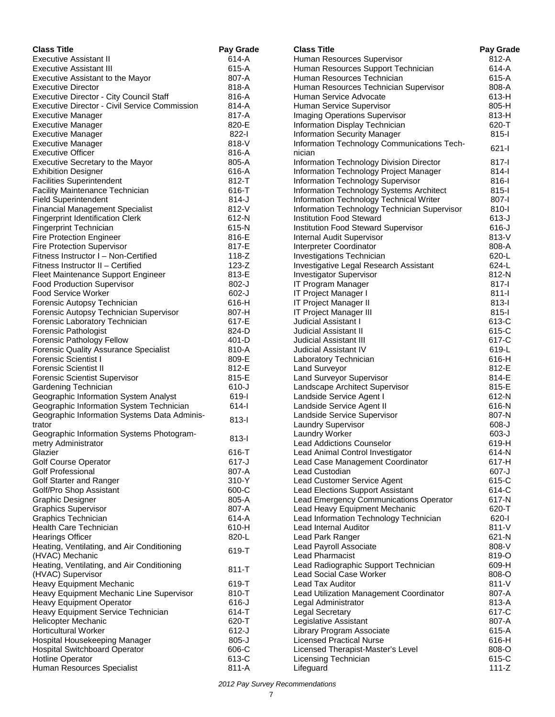| <b>Class Title</b>                                                        | Pay Grade | <b>Class Title</b>                           | Pay Grade |
|---------------------------------------------------------------------------|-----------|----------------------------------------------|-----------|
| <b>Executive Assistant II</b>                                             | 614-A     | Human Resources Supervisor                   | 812-A     |
| <b>Executive Assistant III</b>                                            | 615-A     | Human Resources Support Technician           | 614-A     |
| Executive Assistant to the Mayor                                          | 807-A     | Human Resources Technician                   | 615-A     |
| <b>Executive Director</b>                                                 | 818-A     | Human Resources Technician Supervisor        | 808-A     |
| Executive Director - City Council Staff                                   | 816-A     | Human Service Advocate                       | 613-H     |
| Executive Director - Civil Service Commission                             | $814-A$   | Human Service Supervisor                     | 805-H     |
| Executive Manager                                                         | 817-A     | Imaging Operations Supervisor                | 813-H     |
| <b>Executive Manager</b>                                                  | 820-E     | Information Display Technician               | 620-T     |
| <b>Executive Manager</b>                                                  | $822 - 1$ | Information Security Manager                 | $815 -$   |
| <b>Executive Manager</b>                                                  | 818-V     | Information Technology Communications Tech-  |           |
| <b>Executive Officer</b>                                                  | 816-A     | nician                                       | $621 -$   |
| Executive Secretary to the Mayor                                          | 805-A     | Information Technology Division Director     | $817 - 1$ |
| <b>Exhibition Designer</b>                                                | 616-A     | Information Technology Project Manager       | $814 -$   |
| <b>Facilities Superintendent</b>                                          | 812-T     | Information Technology Supervisor            | $816 -$   |
| Facility Maintenance Technician                                           | 616-T     | Information Technology Systems Architect     | $815 -$   |
| <b>Field Superintendent</b>                                               | $814-J$   | Information Technology Technical Writer      | 807-l     |
| <b>Financial Management Specialist</b>                                    | 812-V     | Information Technology Technician Supervisor | 810-l     |
| <b>Fingerprint Identification Clerk</b>                                   | 612-N     | <b>Institution Food Steward</b>              | $613-J$   |
| <b>Fingerprint Technician</b>                                             | 615-N     | Institution Food Steward Supervisor          | $616 - J$ |
| <b>Fire Protection Engineer</b>                                           | 816-E     | Internal Audit Supervisor                    | 813-V     |
|                                                                           | 817-E     | Interpreter Coordinator                      | 808-A     |
| <b>Fire Protection Supervisor</b><br>Fitness Instructor I - Non-Certified | $118-Z$   | <b>Investigations Technician</b>             | 620-L     |
| Fitness Instructor II - Certified                                         |           |                                              |           |
|                                                                           | $123-Z$   | Investigative Legal Research Assistant       | 624-L     |
| Fleet Maintenance Support Engineer                                        | 813-E     | Investigator Supervisor                      | 812-N     |
| <b>Food Production Supervisor</b>                                         | $802-J$   | IT Program Manager                           | 817-l     |
| <b>Food Service Worker</b>                                                | $602-J$   | IT Project Manager I                         | $811 -$   |
| Forensic Autopsy Technician                                               | 616-H     | IT Project Manager II                        | $813 -$   |
| Forensic Autopsy Technician Supervisor                                    | 807-H     | IT Project Manager III                       | $815 -$   |
| Forensic Laboratory Technician                                            | 617-E     | <b>Judicial Assistant I</b>                  | 613-C     |
| Forensic Pathologist                                                      | 824-D     | Judicial Assistant II                        | 615-C     |
| Forensic Pathology Fellow                                                 | 401-D     | Judicial Assistant III                       | 617-C     |
| <b>Forensic Quality Assurance Specialist</b>                              | 810-A     | Judicial Assistant IV                        | 619-L     |
| <b>Forensic Scientist I</b>                                               | 809-E     | Laboratory Technician                        | 616-H     |
| <b>Forensic Scientist II</b>                                              | 812-E     | <b>Land Surveyor</b>                         | 812-E     |
| <b>Forensic Scientist Supervisor</b>                                      | 815-E     | Land Surveyor Supervisor                     | 814-E     |
| Gardening Technician                                                      | $610 - J$ | Landscape Architect Supervisor               | 815-E     |
| Geographic Information System Analyst                                     | 619-l     | Landside Service Agent I                     | 612-N     |
| Geographic Information System Technician                                  | $614 -$   | Landside Service Agent II                    | 616-N     |
| Geographic Information Systems Data Adminis-                              | $813 -$   | Landside Service Supervisor                  | 807-N     |
| trator                                                                    |           | Laundry Supervisor                           | 608-J     |
| Geographic Information Systems Photogram-                                 | $813-I$   | Laundry Worker                               | $603-J$   |
| metry Administrator                                                       |           | <b>Lead Addictions Counselor</b>             | 619-H     |
| Glazier                                                                   | 616-T     | Lead Animal Control Investigator             | 614-N     |
| <b>Golf Course Operator</b>                                               | $617 - J$ | Lead Case Management Coordinator             | 617-H     |
| <b>Golf Professional</b>                                                  | 807-A     | Lead Custodian                               | 607-J     |
| Golf Starter and Ranger                                                   | 310-Y     | Lead Customer Service Agent                  | 615-C     |
| Golf/Pro Shop Assistant                                                   | 600-C     | <b>Lead Elections Support Assistant</b>      | 614-C     |
| <b>Graphic Designer</b>                                                   | 805-A     | Lead Emergency Communications Operator       | 617-N     |
| <b>Graphics Supervisor</b>                                                | 807-A     | Lead Heavy Equipment Mechanic                | 620-T     |
| Graphics Technician                                                       | 614-A     | Lead Information Technology Technician       | 620-l     |
| <b>Health Care Technician</b>                                             | 610-H     | Lead Internal Auditor                        | 811-V     |
| <b>Hearings Officer</b>                                                   | 820-L     | Lead Park Ranger                             | 621-N     |
| Heating, Ventilating, and Air Conditioning                                | 619-T     | Lead Payroll Associate                       | 808-V     |
| (HVAC) Mechanic                                                           |           | <b>Lead Pharmacist</b>                       | 819-O     |
| Heating, Ventilating, and Air Conditioning                                |           | Lead Radiographic Support Technician         | 609-H     |
| (HVAC) Supervisor                                                         | $811 - T$ | Lead Social Case Worker                      | 808-O     |
| Heavy Equipment Mechanic                                                  | 619-T     | <b>Lead Tax Auditor</b>                      | $811-V$   |
| Heavy Equipment Mechanic Line Supervisor                                  | 810-T     | Lead Utilization Management Coordinator      | 807-A     |
| <b>Heavy Equipment Operator</b>                                           | 616-J     | Legal Administrator                          | 813-A     |
| Heavy Equipment Service Technician                                        | 614-T     | <b>Legal Secretary</b>                       | 617-C     |
| Helicopter Mechanic                                                       | 620-T     | Legislative Assistant                        | 807-A     |
| <b>Horticultural Worker</b>                                               | $612-J$   | Library Program Associate                    | 615-A     |
| Hospital Housekeeping Manager                                             | $805 - J$ | <b>Licensed Practical Nurse</b>              | 616-H     |
| <b>Hospital Switchboard Operator</b>                                      | 606-C     | Licensed Therapist-Master's Level            | 808-O     |
| Hotline Operator                                                          | 613-C     | Licensing Technician                         | 615-C     |
| Human Resources Specialist                                                | 811-A     | Lifeguard                                    | $111 - Z$ |
|                                                                           |           |                                              |           |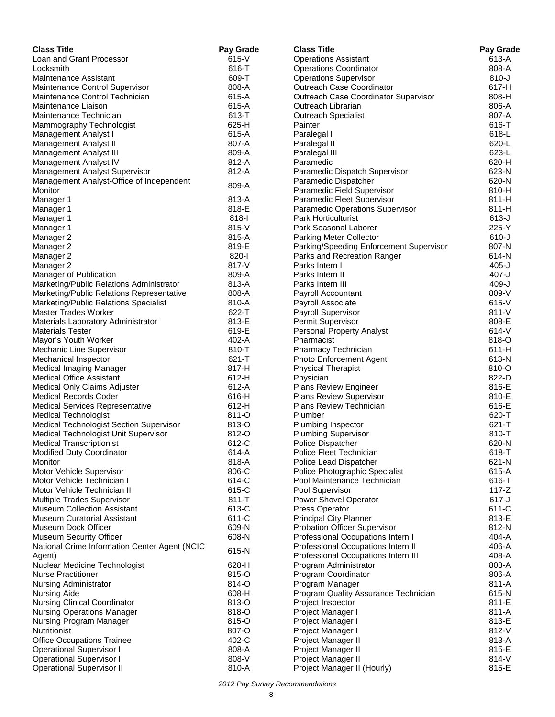| <b>Class Title</b>                                                 | Pay Grade      | <b>Class Title</b>                      | Pay Grade              |
|--------------------------------------------------------------------|----------------|-----------------------------------------|------------------------|
| Loan and Grant Processor                                           | $615-V$        | <b>Operations Assistant</b>             | 613-A                  |
| Locksmith                                                          | 616-T          | <b>Operations Coordinator</b>           | 808-A                  |
| Maintenance Assistant                                              | 609-T          | <b>Operations Supervisor</b>            | $810 - J$              |
| Maintenance Control Supervisor                                     | 808-A          | Outreach Case Coordinator               | 617-H                  |
| Maintenance Control Technician                                     | 615-A          | Outreach Case Coordinator Supervisor    | 808-H                  |
| Maintenance Liaison                                                | 615-A          | Outreach Librarian                      | 806-A                  |
| Maintenance Technician                                             | 613-T          | Outreach Specialist                     | 807-A                  |
| Mammography Technologist                                           | 625-H          | Painter                                 | 616-T                  |
| Management Analyst I                                               | 615-A          | Paralegal I                             | 618-L                  |
| Management Analyst II                                              | 807-A          | Paralegal II                            | 620-L                  |
| Management Analyst III                                             | 809-A          | Paralegal III                           | 623-L                  |
| Management Analyst IV                                              | 812-A          | Paramedic                               | 620-H                  |
| Management Analyst Supervisor                                      | 812-A          | Paramedic Dispatch Supervisor           | 623-N                  |
| Management Analyst-Office of Independent                           | 809-A          | Paramedic Dispatcher                    | 620-N                  |
| Monitor                                                            |                | Paramedic Field Supervisor              | 810-H                  |
| Manager 1                                                          | 813-A          | Paramedic Fleet Supervisor              | 811-H                  |
| Manager 1                                                          | 818-E          | Paramedic Operations Supervisor         | 811-H                  |
| Manager 1                                                          | 818-l          | <b>Park Horticulturist</b>              | $613 - J$              |
| Manager 1                                                          | $815-V$        | Park Seasonal Laborer                   | 225-Y                  |
| Manager 2                                                          | 815-A          | <b>Parking Meter Collector</b>          | $610 - J$              |
| Manager 2                                                          | 819-E<br>820-l | Parking/Speeding Enforcement Supervisor | 807-N<br>614-N         |
| Manager 2                                                          |                | Parks and Recreation Ranger             |                        |
| Manager 2                                                          | 817-V          | Parks Intern I<br>Parks Intern II       | $405 - J$              |
| Manager of Publication<br>Marketing/Public Relations Administrator | 809-A          |                                         | $407 - J$<br>$409 - J$ |
| Marketing/Public Relations Representative                          | 813-A<br>808-A | Parks Intern III                        | 809-V                  |
| Marketing/Public Relations Specialist                              | 810-A          | Payroll Accountant<br>Payroll Associate | $615 - V$              |
| <b>Master Trades Worker</b>                                        | 622-T          | Payroll Supervisor                      | $811 - V$              |
| Materials Laboratory Administrator                                 | 813-E          | Permit Supervisor                       | 808-E                  |
| <b>Materials Tester</b>                                            | 619-E          | <b>Personal Property Analyst</b>        | 614-V                  |
| Mayor's Youth Worker                                               | 402-A          | Pharmacist                              | 818-O                  |
| Mechanic Line Supervisor                                           | 810-T          | Pharmacy Technician                     | $611-H$                |
| Mechanical Inspector                                               | 621-T          | Photo Enforcement Agent                 | 613-N                  |
| Medical Imaging Manager                                            | 817-H          | <b>Physical Therapist</b>               | 810-O                  |
| <b>Medical Office Assistant</b>                                    | $612-H$        | Physician                               | 822-D                  |
| Medical Only Claims Adjuster                                       | 612-A          | Plans Review Engineer                   | 816-E                  |
| <b>Medical Records Coder</b>                                       | 616-H          | <b>Plans Review Supervisor</b>          | 810-E                  |
| <b>Medical Services Representative</b>                             | $612-H$        | <b>Plans Review Technician</b>          | 616-E                  |
| <b>Medical Technologist</b>                                        | 811-O          | Plumber                                 | 620-T                  |
| Medical Technologist Section Supervisor                            | 813-O          | Plumbing Inspector                      | 621-T                  |
| Medical Technologist Unit Supervisor                               | 812-O          | <b>Plumbing Supervisor</b>              | 810-T                  |
| <b>Medical Transcriptionist</b>                                    | 612-C          | Police Dispatcher                       | 620-N                  |
| Modified Duty Coordinator                                          | 614-A          | Police Fleet Technician                 | 618-1                  |
| Monitor                                                            | 818-A          | Police Lead Dispatcher                  | 621-N                  |
| Motor Vehicle Supervisor                                           | 806-C          | Police Photographic Specialist          | 615-A                  |
| Motor Vehicle Technician I                                         | 614-C          | Pool Maintenance Technician             | 616-T                  |
| Motor Vehicle Technician II                                        | 615-C          | Pool Supervisor                         | $117-Z$                |
| Multiple Trades Supervisor                                         | $811 - T$      | Power Shovel Operator                   | $617 - J$              |
| <b>Museum Collection Assistant</b>                                 | 613-C          | <b>Press Operator</b>                   | 611-C                  |
| <b>Museum Curatorial Assistant</b>                                 | 611-C          | <b>Principal City Planner</b>           | 813-E                  |
| Museum Dock Officer                                                | 609-N          | <b>Probation Officer Supervisor</b>     | 812-N                  |
| <b>Museum Security Officer</b>                                     | 608-N          | Professional Occupations Intern I       | 404-A                  |
| National Crime Information Center Agent (NCIC                      | 615-N          | Professional Occupations Intern II      | 406-A                  |
| Agent)                                                             |                | Professional Occupations Intern III     | 408-A                  |
| Nuclear Medicine Technologist                                      | 628-H          | Program Administrator                   | 808-A                  |
| <b>Nurse Practitioner</b>                                          | 815-O          | Program Coordinator                     | 806-A                  |
| <b>Nursing Administrator</b>                                       | 814-O          | Program Manager                         | 811-A                  |
| Nursing Aide                                                       | 608-H          | Program Quality Assurance Technician    | 615-N                  |
| <b>Nursing Clinical Coordinator</b>                                | 813-O          | Project Inspector                       | 811-E                  |
| <b>Nursing Operations Manager</b>                                  | 818-O          | Project Manager I                       | 811-A                  |
| Nursing Program Manager                                            | 815-O          | Project Manager I                       | 813-E                  |
| Nutritionist                                                       | 807-O          | Project Manager I                       | 812-V                  |
| <b>Office Occupations Trainee</b>                                  | 402-C          | Project Manager II                      | 813-A                  |
| <b>Operational Supervisor I</b>                                    | 808-A          | Project Manager II                      | 815-E                  |
| <b>Operational Supervisor I</b>                                    | 808-V          | Project Manager II                      | 814-V                  |
| <b>Operational Supervisor II</b>                                   | 810-A          | Project Manager II (Hourly)             | 815-E                  |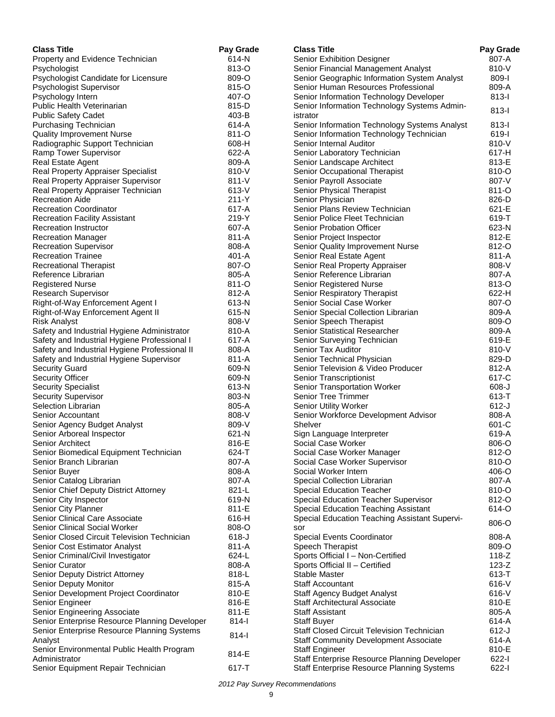| <b>Class Title</b>                                | Pay Grade      | <b>Class Title</b>                                               | Pay Grade      |
|---------------------------------------------------|----------------|------------------------------------------------------------------|----------------|
| Property and Evidence Technician                  | 614-N          | Senior Exhibition Designer                                       | 807-A          |
| Psychologist                                      | 813-O          | Senior Financial Management Analyst                              | 810-V          |
| Psychologist Candidate for Licensure              | 809-O          | Senior Geographic Information System Analyst                     | 809-l          |
| Psychologist Supervisor                           | 815-O          | Senior Human Resources Professional                              | 809-A          |
| Psychology Intern                                 | 407-O          | Senior Information Technology Developer                          | $813-I$        |
| <b>Public Health Veterinarian</b>                 | 815-D          | Senior Information Technology Systems Admin-                     | $813 -$        |
| <b>Public Safety Cadet</b>                        | 403-B          | istrator                                                         |                |
| Purchasing Technician                             | 614-A          | Senior Information Technology Systems Analyst                    | $813-I$        |
| <b>Quality Improvement Nurse</b>                  | 811-O          | Senior Information Technology Technician                         | 619-l          |
| Radiographic Support Technician                   | 608-H          | Senior Internal Auditor                                          | 810-V          |
| Ramp Tower Supervisor                             | 622-A          | Senior Laboratory Technician                                     | 617-H          |
| Real Estate Agent                                 | 809-A          | Senior Landscape Architect                                       | 813-E          |
| Real Property Appraiser Specialist                | 810-V          | Senior Occupational Therapist                                    | 810-O          |
| Real Property Appraiser Supervisor                | $811 - V$      | Senior Payroll Associate                                         | 807-V          |
| Real Property Appraiser Technician                | 613-V          | Senior Physical Therapist                                        | 811-O          |
| <b>Recreation Aide</b>                            | $211 - Y$      | Senior Physician                                                 | 826-D          |
| <b>Recreation Coordinator</b>                     | 617-A          | Senior Plans Review Technician                                   | 621-E          |
| <b>Recreation Facility Assistant</b>              | 219-Y          | Senior Police Fleet Technician                                   | 619-T          |
| Recreation Instructor                             | 607-A          | Senior Probation Officer                                         | 623-N          |
| <b>Recreation Manager</b>                         | 811-A          | Senior Project Inspector                                         | 812-E          |
| <b>Recreation Supervisor</b>                      | 808-A          | Senior Quality Improvement Nurse                                 | 812-O          |
| <b>Recreation Trainee</b>                         | $401 - A$      | Senior Real Estate Agent                                         | 811-A          |
| <b>Recreational Therapist</b>                     | 807-O          | Senior Real Property Appraiser                                   | 808-V          |
| Reference Librarian                               | 805-A          | Senior Reference Librarian                                       | 807-A          |
| <b>Registered Nurse</b>                           | 811-O          | Senior Registered Nurse                                          | 813-O          |
| <b>Research Supervisor</b>                        | 812-A          | Senior Respiratory Therapist                                     | 622-H          |
| Right-of-Way Enforcement Agent I                  | 613-N          | Senior Social Case Worker                                        | 807-O          |
| Right-of-Way Enforcement Agent II                 | 615-N          | Senior Special Collection Librarian                              | 809-A          |
| <b>Risk Analyst</b>                               | 808-V          | Senior Speech Therapist                                          | 809-O          |
| Safety and Industrial Hygiene Administrator       | 810-A          | Senior Statistical Researcher                                    | 809-A          |
| Safety and Industrial Hygiene Professional I      | 617-A          | Senior Surveying Technician                                      | 619-E          |
| Safety and Industrial Hygiene Professional II     | 808-A          | Senior Tax Auditor                                               | 810-V          |
| Safety and Industrial Hygiene Supervisor          | 811-A<br>609-N | Senior Technical Physician<br>Senior Television & Video Producer | 829-D<br>812-A |
| <b>Security Guard</b>                             | 609-N          |                                                                  | 617-C          |
| <b>Security Officer</b>                           | 613-N          | Senior Transcriptionist                                          | 608-J          |
| <b>Security Specialist</b>                        | 803-N          | Senior Transportation Worker<br><b>Senior Tree Trimmer</b>       | 613-T          |
| <b>Security Supervisor</b><br>Selection Librarian | 805-A          | <b>Senior Utility Worker</b>                                     | $612-J$        |
| Senior Accountant                                 | 808-V          | Senior Workforce Development Advisor                             | 808-A          |
| Senior Agency Budget Analyst                      | 809-V          | Shelver                                                          | 601-C          |
| Senior Arboreal Inspector                         | 621-N          | Sign Language Interpreter                                        | 619-A          |
| Senior Architect                                  | 816-E          | Social Case Worker                                               | $806 - O$      |
| Senior Biomedical Equipment Technician            | 624-T          | Social Case Worker Manager                                       | 812-O          |
| Senior Branch Librarian                           | 807-A          | Social Case Worker Supervisor                                    | 810-O          |
| Senior Buyer                                      | 808-A          | Social Worker Intern                                             | 406-O          |
| Senior Catalog Librarian                          | 807-A          | Special Collection Librarian                                     | 807-A          |
| Senior Chief Deputy District Attorney             | 821-L          | <b>Special Education Teacher</b>                                 | 810-O          |
| Senior City Inspector                             | 619-N          | Special Education Teacher Supervisor                             | 812-O          |
| Senior City Planner                               | 811-E          | Special Education Teaching Assistant                             | 614-O          |
| Senior Clinical Care Associate                    | 616-H          | Special Education Teaching Assistant Supervi-                    |                |
| Senior Clinical Social Worker                     | 808-O          | sor                                                              | 806-O          |
| Senior Closed Circuit Television Technician       | $618 - J$      | Special Events Coordinator                                       | 808-A          |
| Senior Cost Estimator Analyst                     | 811-A          | Speech Therapist                                                 | 809-O          |
| Senior Criminal/Civil Investigator                | 624-L          | Sports Official I - Non-Certified                                | $118 - Z$      |
| <b>Senior Curator</b>                             | 808-A          | Sports Official II - Certified                                   | $123-Z$        |
| Senior Deputy District Attorney                   | 818-L          | Stable Master                                                    | $613 - T$      |
| Senior Deputy Monitor                             | 815-A          | <b>Staff Accountant</b>                                          | 616-V          |
| Senior Development Project Coordinator            | 810-E          | Staff Agency Budget Analyst                                      | $616-V$        |
| Senior Engineer                                   | 816-E          | Staff Architectural Associate                                    | 810-E          |
| Senior Engineering Associate                      | 811-E          | <b>Staff Assistant</b>                                           | 805-A          |
| Senior Enterprise Resource Planning Developer     | $814 -$        | <b>Staff Buyer</b>                                               | 614-A          |
| Senior Enterprise Resource Planning Systems       |                | <b>Staff Closed Circuit Television Technician</b>                | $612-J$        |
| Analyst                                           | 814-l          | <b>Staff Community Development Associate</b>                     | 614-A          |
| Senior Environmental Public Health Program        |                | <b>Staff Engineer</b>                                            | 810-E          |
| Administrator                                     | 814-E          | Staff Enterprise Resource Planning Developer                     | $622 - 1$      |
| Senior Equipment Repair Technician                | 617-T          | Staff Enterprise Resource Planning Systems                       | $622 - 1$      |
|                                                   |                |                                                                  |                |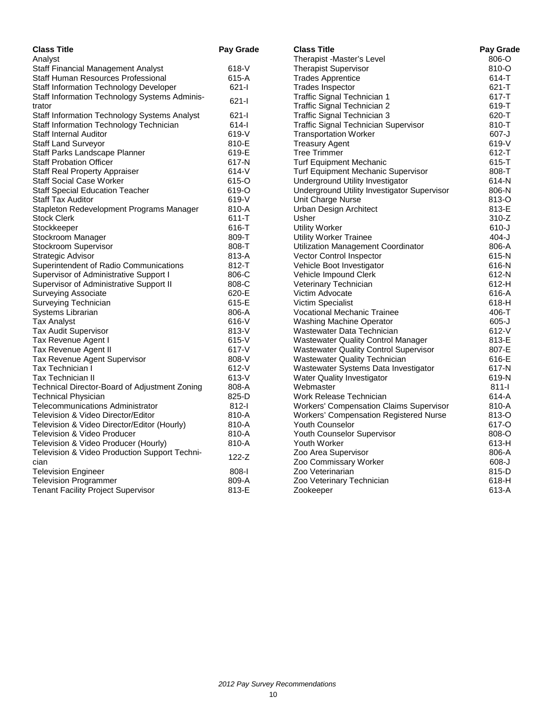| <b>Class Title</b>                            | Pay Grade | <b>Class Title</b>                             | Pay Grade |
|-----------------------------------------------|-----------|------------------------------------------------|-----------|
| Analyst                                       |           | Therapist -Master's Level                      | 806-O     |
| <b>Staff Financial Management Analyst</b>     | $618 - V$ | <b>Therapist Supervisor</b>                    | 810-O     |
| Staff Human Resources Professional            | 615-A     | <b>Trades Apprentice</b>                       | 614-T     |
| Staff Information Technology Developer        | $621 - 1$ | <b>Trades Inspector</b>                        | $621 - T$ |
| Staff Information Technology Systems Adminis- | $621 -$   | Traffic Signal Technician 1                    | $617 - T$ |
| trator                                        |           | Traffic Signal Technician 2                    | 619-T     |
| Staff Information Technology Systems Analyst  | $621 -$   | Traffic Signal Technician 3                    | 620-T     |
| Staff Information Technology Technician       | $614 -$   | <b>Traffic Signal Technician Supervisor</b>    | 810-T     |
| Staff Internal Auditor                        | 619-V     | <b>Transportation Worker</b>                   | $607 - J$ |
| <b>Staff Land Surveyor</b>                    | 810-E     | <b>Treasury Agent</b>                          | 619-V     |
| Staff Parks Landscape Planner                 | 619-E     | <b>Tree Trimmer</b>                            | $612 - T$ |
| <b>Staff Probation Officer</b>                | 617-N     | <b>Turf Equipment Mechanic</b>                 | 615-T     |
| <b>Staff Real Property Appraiser</b>          | $614 - V$ | Turf Equipment Mechanic Supervisor             | 808-T     |
| <b>Staff Social Case Worker</b>               | 615-O     | Underground Utility Investigator               | 614-N     |
| <b>Staff Special Education Teacher</b>        | 619-O     | Underground Utility Investigator Supervisor    | 806-N     |
| <b>Staff Tax Auditor</b>                      | 619-V     | Unit Charge Nurse                              | 813-O     |
| Stapleton Redevelopment Programs Manager      | 810-A     | Urban Design Architect                         | 813-E     |
| <b>Stock Clerk</b>                            | $611 - T$ | Usher                                          | $310-Z$   |
| Stockkeeper                                   | 616-T     | <b>Utility Worker</b>                          | $610 - J$ |
| Stockroom Manager                             | 809-T     | <b>Utility Worker Trainee</b>                  | $404 - J$ |
| Stockroom Supervisor                          | 808-T     | Utilization Management Coordinator             | 806-A     |
| Strategic Advisor                             | 813-A     | <b>Vector Control Inspector</b>                | 615-N     |
| Superintendent of Radio Communications        | 812-T     | Vehicle Boot Investigator                      | 616-N     |
| Supervisor of Administrative Support I        | 806-C     | Vehicle Impound Clerk                          | 612-N     |
| Supervisor of Administrative Support II       | 808-C     | Veterinary Technician                          | 612-H     |
| <b>Surveying Associate</b>                    | 620-E     | Victim Advocate                                | 616-A     |
| Surveying Technician                          | 615-E     | Victim Specialist                              | 618-H     |
| Systems Librarian                             | 806-A     | <b>Vocational Mechanic Trainee</b>             | 406-T     |
| <b>Tax Analyst</b>                            | $616-V$   | Washing Machine Operator                       | $605 - J$ |
| <b>Tax Audit Supervisor</b>                   | 813-V     | Wastewater Data Technician                     | $612-V$   |
| Tax Revenue Agent I                           | $615-V$   | <b>Wastewater Quality Control Manager</b>      | 813-E     |
| Tax Revenue Agent II                          | 617-V     | <b>Wastewater Quality Control Supervisor</b>   | 807-E     |
| <b>Tax Revenue Agent Supervisor</b>           | 808-V     | Wastewater Quality Technician                  | 616-E     |
| Tax Technician I                              | $612 - V$ | Wastewater Systems Data Investigator           | 617-N     |
| <b>Tax Technician II</b>                      | $613-V$   | Water Quality Investigator                     | 619-N     |
| Technical Director-Board of Adjustment Zoning | 808-A     | Webmaster                                      | $811 -$   |
| <b>Technical Physician</b>                    | 825-D     | Work Release Technician                        | 614-A     |
| Telecommunications Administrator              | $812 -$   | <b>Workers' Compensation Claims Supervisor</b> | 810-A     |
| Television & Video Director/Editor            | 810-A     | Workers' Compensation Registered Nurse         | 813-O     |
| Television & Video Director/Editor (Hourly)   | 810-A     | <b>Youth Counselor</b>                         | 617-O     |
| Television & Video Producer                   | 810-A     | Youth Counselor Supervisor                     | 808-O     |
| Television & Video Producer (Hourly)          | 810-A     | Youth Worker                                   | 613-H     |
| Television & Video Production Support Techni- |           | Zoo Area Supervisor                            | 806-A     |
| cian                                          | $122 - Z$ | Zoo Commissary Worker                          | $608 - J$ |
| <b>Television Engineer</b>                    | $808 - 1$ | Zoo Veterinarian                               | 815-D     |
| <b>Television Programmer</b>                  | 809-A     | Zoo Veterinary Technician                      | 618-H     |
| <b>Tenant Facility Project Supervisor</b>     | 813-E     | Zookeeper                                      | 613-A     |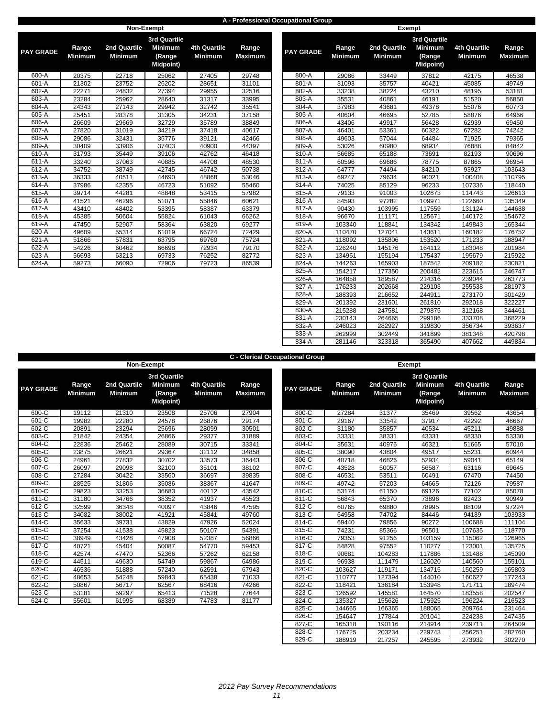#### **A - Professional Occupational Group**

|                  |                         |                                | Non-Exempt                                                          |                                       |                         |                  |                         |                                | <b>Exempt</b>             |
|------------------|-------------------------|--------------------------------|---------------------------------------------------------------------|---------------------------------------|-------------------------|------------------|-------------------------|--------------------------------|---------------------------|
| <b>PAY GRADE</b> | Range<br><b>Minimum</b> | 2nd Quartile<br><b>Minimum</b> | <b>3rd Quartile</b><br><b>Minimum</b><br>(Range<br><b>Midpoint)</b> | <b>4th Quartile</b><br><b>Minimum</b> | Range<br><b>Maximum</b> | <b>PAY GRADE</b> | Range<br><b>Minimum</b> | 2nd Quartile<br><b>Minimum</b> | 3r <sub>c</sub><br>Μ<br>M |
| 600-A            | 20375                   | 22718                          | 25062                                                               | 27405                                 | 29748                   | 800-A            | 29086                   | 33449                          |                           |
| 601-A            | 21302                   | 23752                          | 26202                                                               | 28651                                 | 31101                   | 801-A            | 31093                   | 35757                          |                           |
| 602-A            | 22271                   | 24832                          | 27394                                                               | 29955                                 | 32516                   | 802-A            | 33238                   | 38224                          |                           |
| 603-A            | 23284                   | 25962                          | 28640                                                               | 31317                                 | 33995                   | 803-A            | 35531                   | 40861                          |                           |
| 604-A            | 24343                   | 27143                          | 29942                                                               | 32742                                 | 35541                   | 804-A            | 37983                   | 43681                          |                           |
| 605-A            | 25451                   | 28378                          | 31305                                                               | 34231                                 | 37158                   | 805-A            | 40604                   | 46695                          |                           |
| 606-A            | 26609                   | 29669                          | 32729                                                               | 35789                                 | 38849                   | 806-A            | 43406                   | 49917                          |                           |
| 607-A            | 27820                   | 31019                          | 34219                                                               | 37418                                 | 40617                   | 807-A            | 46401                   | 53361                          |                           |
| 608-A            | 29086                   | 32431                          | 35776                                                               | 39121                                 | 42466                   | 808-A            | 49603                   | 57044                          |                           |
| 609-A            | 30409                   | 33906                          | 37403                                                               | 40900                                 | 44397                   | 809-A            | 53026                   | 60980                          |                           |
| 610-A            | 31793                   | 35449                          | 39106                                                               | 42762                                 | 46418                   | 810-A            | 56685                   | 65188                          |                           |
| $611-A$          | 33240                   | 37063                          | 40885                                                               | 44708                                 | 48530                   | 811-A            | 60596                   | 69686                          |                           |
| 612-A            | 34752                   | 38749                          | 42745                                                               | 46742                                 | 50738                   | 812-A            | 64777                   | 74494                          |                           |
| 613-A            | 36333                   | 40511                          | 44690                                                               | 48868                                 | 53046                   | 813-A            | 69247                   | 79634                          |                           |
| 614-A            | 37986                   | 42355                          | 46723                                                               | 51092                                 | 55460                   | 814-A            | 74025                   | 85129                          |                           |
| $615-A$          | 39714                   | 44281                          | 48848                                                               | 53415                                 | 57982                   | $815-A$          | 79133                   | 91003                          |                           |
| 616-A            | 41521                   | 46296                          | 51071                                                               | 55846                                 | 60621                   | 816-A            | 84593                   | 97282                          |                           |
| 617-A            | 43410                   | 48402                          | 53395                                                               | 58387                                 | 63379                   | 817-A            | 90430                   | 103995                         |                           |
| 618-A            | 45385                   | 50604                          | 55824                                                               | 61043                                 | 66262                   | 818-A            | 96670                   | 111171                         |                           |
| 619-A            | 47450                   | 52907                          | 58364                                                               | 63820                                 | 69277                   | 819-A            | 103340                  | 118841                         |                           |
| 620-A            | 49609                   | 55314                          | 61019                                                               | 66724                                 | 72429                   | 820-A            | 110470                  | 127041                         |                           |
| 621-A            | 51866                   | 57831                          | 63795                                                               | 69760                                 | 75724                   | 821-A            | 118092                  | 135806                         |                           |
| 622-A            | 54226                   | 60462                          | 66698                                                               | 72934                                 | 79170                   | 822-A            | 126240                  | 145176                         |                           |
| 623-A            | 56693                   | 63213                          | 69733                                                               | 76252                                 | 82772                   | 823-A            | 134951                  | 155194                         |                           |
| 624-A            | 59273                   | 66090                          | 72906                                                               | 79723                                 | 86539                   | 824-A            | 144263                  | 165903                         |                           |

| <b><i>GRADE</i></b> | Range<br><b>Minimum</b> | 2nd Quartile<br><b>Minimum</b> | 3rd Quartile<br><b>Minimum</b><br>(Range<br><b>Midpoint)</b> | <b>4th Quartile</b><br>Minimum | Range<br><b>Maximum</b> | <b>PAY GRADE</b> | Range<br><b>Minimum</b> | 2nd Quartile<br><b>Minimum</b> | 3rd Quartile<br><b>Minimum</b><br>(Range<br><b>Midpoint)</b> | <b>4th Quartile</b><br><b>Minimum</b> | Range<br><b>Maximum</b> |
|---------------------|-------------------------|--------------------------------|--------------------------------------------------------------|--------------------------------|-------------------------|------------------|-------------------------|--------------------------------|--------------------------------------------------------------|---------------------------------------|-------------------------|
| 600-A               | 20375                   | 22718                          | 25062                                                        | 27405                          | 29748                   | 800-A            | 29086                   | 33449                          | 37812                                                        | 42175                                 | 46538                   |
| $601-A$             | 21302                   | 23752                          | 26202                                                        | 28651                          | 31101                   | 801-A            | 31093                   | 35757                          | 40421                                                        | 45085                                 | 49749                   |
| $602-A$             | 22271                   | 24832                          | 27394                                                        | 29955                          | 32516                   | $802-A$          | 33238                   | 38224                          | 43210                                                        | 48195                                 | 53181                   |
| 603-A               | 23284                   | 25962                          | 28640                                                        | 31317                          | 33995                   | 803-A            | 35531                   | 40861                          | 46191                                                        | 51520                                 | 56850                   |
| $604-A$             | 24343                   | 27143                          | 29942                                                        | 32742                          | 35541                   | 804-A            | 37983                   | 43681                          | 49378                                                        | 55076                                 | 60773                   |
| $605-A$             | 25451                   | 28378                          | 31305                                                        | 34231                          | 37158                   | 805-A            | 40604                   | 46695                          | 52785                                                        | 58876                                 | 64966                   |
| 606-A               | 26609                   | 29669                          | 32729                                                        | 35789                          | 38849                   | 806-A            | 43406                   | 49917                          | 56428                                                        | 62939                                 | 69450                   |
| 607-A               | 27820                   | 31019                          | 34219                                                        | 37418                          | 40617                   | 807-A            | 46401                   | 53361                          | 60322                                                        | 67282                                 | 74242                   |
| $608-A$             | 29086                   | 32431                          | 35776                                                        | 39121                          | 42466                   | 808-A            | 49603                   | 57044                          | 64484                                                        | 71925                                 | 79365                   |
| 609-A               | 30409                   | 33906                          | 37403                                                        | 40900                          | 44397                   | 809-A            | 53026                   | 60980                          | 68934                                                        | 76888                                 | 84842                   |
| 610-A               | 31793                   | 35449                          | 39106                                                        | 42762                          | 46418                   | 810-A            | 56685                   | 65188                          | 73691                                                        | 82193                                 | 90696                   |
| 611-A               | 33240                   | 37063                          | 40885                                                        | 44708                          | 48530                   | 811-A            | 60596                   | 69686                          | 78775                                                        | 87865                                 | 96954                   |
| 612-A               | 34752                   | 38749                          | 42745                                                        | 46742                          | 50738                   | 812-A            | 64777                   | 74494                          | 84210                                                        | 93927                                 | 103643                  |
| $613-A$             | 36333                   | 40511                          | 44690                                                        | 48868                          | 53046                   | 813-A            | 69247                   | 79634                          | 90021                                                        | 100408                                | 110795                  |
| $614-A$             | 37986                   | 42355                          | 46723                                                        | 51092                          | 55460                   | 814-A            | 74025                   | 85129                          | 96233                                                        | 107336                                | 118440                  |
| 615-A               | 39714                   | 44281                          | 48848                                                        | 53415                          | 57982                   | 815-A            | 79133                   | 91003                          | 102873                                                       | 114743                                | 126613                  |
| $616-A$             | 41521                   | 46296                          | 51071                                                        | 55846                          | 60621                   | 816-A            | 84593                   | 97282                          | 109971                                                       | 122660                                | 135349                  |
| 617-A               | 43410                   | 48402                          | 53395                                                        | 58387                          | 63379                   | 817-A            | 90430                   | 103995                         | 117559                                                       | 131124                                | 144688                  |
| $618-A$             | 45385                   | 50604                          | 55824                                                        | 61043                          | 66262                   | 818-A            | 96670                   | 111171                         | 125671                                                       | 140172                                | 154672                  |
| $619-A$             | 47450                   | 52907                          | 58364                                                        | 63820                          | 69277                   | 819-A            | 103340                  | 118841                         | 134342                                                       | 149843                                | 165344                  |
| $620-A$             | 49609                   | 55314                          | 61019                                                        | 66724                          | 72429                   | 820-A            | 110470                  | 127041                         | 143611                                                       | 160182                                | 176752                  |
| 621-A               | 51866                   | 57831                          | 63795                                                        | 69760                          | 75724                   | 821-A            | 118092                  | 135806                         | 153520                                                       | 171233                                | 188947                  |
| $622-A$             | 54226                   | 60462                          | 66698                                                        | 72934                          | 79170                   | 822-A            | 126240                  | 145176                         | 164112                                                       | 183048                                | 201984                  |
| $623-A$             | 56693                   | 63213                          | 69733                                                        | 76252                          | 82772                   | 823-A            | 134951                  | 155194                         | 175437                                                       | 195679                                | 215922                  |
| 624-A               | 59273                   | 66090                          | 72906                                                        | 79723                          | 86539                   | 824-A            | 144263                  | 165903                         | 187542                                                       | 209182                                | 230821                  |
|                     |                         |                                |                                                              |                                |                         | 825-A            | 154217                  | 177350                         | 200482                                                       | 223615                                | 246747                  |
|                     |                         |                                |                                                              |                                |                         | 826-A            | 164858                  | 189587                         | 214316                                                       | 239044                                | 263773                  |
|                     |                         |                                |                                                              |                                |                         | 827-A            | 176233                  | 202668                         | 229103                                                       | 255538                                | 281973                  |
|                     |                         |                                |                                                              |                                |                         | 828-A            | 188393                  | 216652                         | 244911                                                       | 273170                                | 301429                  |
|                     |                         |                                |                                                              |                                |                         | 829-A            | 201392                  | 231601                         | 261810                                                       | 292018                                | 322227                  |
|                     |                         |                                |                                                              |                                |                         | 830-A            | 215288                  | 247581                         | 279875                                                       | 312168                                | 344461                  |
|                     |                         |                                |                                                              |                                |                         | 831-A            | 230143                  | 264665                         | 299186                                                       | 333708                                | 368229                  |
|                     |                         |                                |                                                              |                                |                         | 832-A            | 246023                  | 282927                         | 319830                                                       | 356734                                | 393637                  |
|                     |                         |                                |                                                              |                                |                         | 833-A            | 262999                  | 302449                         | 341899                                                       | 381348                                | 420798                  |
|                     |                         |                                |                                                              |                                |                         | 834-A            | 281146                  | 323318                         | 365490                                                       | 407662                                | 449834                  |

**C - Clerical Occupational Group**

|                  |                         | Non-Exempt                     | sichidai occupational oroup                                  |                                       |                         | Exempt           |                         |                                |                            |
|------------------|-------------------------|--------------------------------|--------------------------------------------------------------|---------------------------------------|-------------------------|------------------|-------------------------|--------------------------------|----------------------------|
| <b>PAY GRADE</b> | Range<br><b>Minimum</b> | 2nd Quartile<br><b>Minimum</b> | 3rd Quartile<br><b>Minimum</b><br>(Range<br><b>Midpoint)</b> | <b>4th Quartile</b><br><b>Minimum</b> | Range<br><b>Maximum</b> | <b>PAY GRADE</b> | Range<br><b>Minimum</b> | 2nd Quartile<br><b>Minimum</b> | 3rd (<br>Mir<br>(R)<br>Mic |
| 600-C            | 19112                   | 21310                          | 23508                                                        | 25706                                 | 27904                   | 800-C            | 27284                   | 31377                          | 3                          |
| 601-C            | 19982                   | 22280                          | 24578                                                        | 26876                                 | 29174                   | 801-C            | 29167                   | 33542                          | 3                          |
| 602-C            | 20891                   | 23294                          | 25696                                                        | 28099                                 | 30501                   | 802-C            | 31180                   | 35857                          | 4                          |
| 603-C            | 21842                   | 24354                          | 26866                                                        | 29377                                 | 31889                   | 803-C            | 33331                   | 38331                          | 4                          |
| $604-C$          | 22836                   | 25462                          | 28089                                                        | 30715                                 | 33341                   | $804-C$          | 35631                   | 40976                          | 4                          |
| 605-C            | 23875                   | 26621                          | 29367                                                        | 32112                                 | 34858                   | 805-C            | 38090                   | 43804                          | 4                          |
| 606-C            | 24961                   | 27832                          | 30702                                                        | 33573                                 | 36443                   | 806-C            | 40718                   | 46826                          | 5                          |
| 607-C            | 26097                   | 29098                          | 32100                                                        | 35101                                 | 38102                   | 807-C            | 43528                   | 50057                          | 5                          |
| 608-C            | 27284                   | 30422                          | 33560                                                        | 36697                                 | 39835                   | 808-C            | 46531                   | 53511                          | 6                          |
| $609-C$          | 28525                   | 31806                          | 35086                                                        | 38367                                 | 41647                   | 809-C            | 49742                   | 57203                          | 6                          |
| 610-C            | 29823                   | 33253                          | 36683                                                        | 40112                                 | 43542                   | 810-C            | 53174                   | 61150                          | 6                          |
| 611-C            | 31180                   | 34766                          | 38352                                                        | 41937                                 | 45523                   | 811-C            | 56843                   | 65370                          | 7                          |
| 612-C            | 32599                   | 36348                          | 40097                                                        | 43846                                 | 47595                   | 812-C            | 60765                   | 69880                          | $\overline{7}$             |
| 613-C            | 34082                   | 38002                          | 41921                                                        | 45841                                 | 49760                   | 813-C            | 64958                   | 74702                          | 8                          |
| 614-C            | 35633                   | 39731                          | 43829                                                        | 47926                                 | 52024                   | 814-C            | 69440                   | 79856                          | 9                          |
| 615-C            | 37254                   | 41538                          | 45823                                                        | 50107                                 | 54391                   | 815-C            | 74231                   | 85366                          | 9                          |
| $616-C$          | 38949                   | 43428                          | 47908                                                        | 52387                                 | 56866                   | 816-C            | 79353                   | 91256                          | 10                         |
| 617-C            | 40721                   | 45404                          | 50087                                                        | 54770                                 | 59453                   | 817-C            | 84828                   | 97552                          | 11                         |
| 618-C            | 42574                   | 47470                          | 52366                                                        | 57262                                 | 62158                   | 818-C            | 90681                   | 104283                         | 11                         |
| 619-C            | 44511                   | 49630                          | 54749                                                        | 59867                                 | 64986                   | 819-C            | 96938                   | 111479                         | 12                         |
| 620-C            | 46536                   | 51888                          | 57240                                                        | 62591                                 | 67943                   | 820-C            | 103627                  | 119171                         | 13                         |
| 621-C            | 48653                   | 54248                          | 59843                                                        | 65438                                 | 71033                   | 821-C            | 110777                  | 127394                         | 14                         |
| 622-C            | 50867                   | 56717                          | 62567                                                        | 68416                                 | 74266                   | 822-C            | 118421                  | 136184                         | 15                         |
| 623-C            | 53181                   | 59297                          | 65413                                                        | 71528                                 | 77644                   | 823-C            | 126592                  | 145581                         | 16                         |
| 624-C            | 55601                   | 61995                          | 68389                                                        | 74783                                 | 81177                   | 824-C            | 135327                  | 155626                         | 17                         |

|              | <b>3rd Quartile</b>     |                                |                                              |                                |                         |                  |                         |                                | <b>3rd Quartile</b>                          |                                |                         |
|--------------|-------------------------|--------------------------------|----------------------------------------------|--------------------------------|-------------------------|------------------|-------------------------|--------------------------------|----------------------------------------------|--------------------------------|-------------------------|
| <b>GRADE</b> | Range<br><b>Minimum</b> | 2nd Quartile<br><b>Minimum</b> | <b>Minimum</b><br>(Range<br><b>Midpoint)</b> | 4th Quartile<br><b>Minimum</b> | Range<br><b>Maximum</b> | <b>PAY GRADE</b> | Range<br><b>Minimum</b> | 2nd Quartile<br><b>Minimum</b> | <b>Minimum</b><br>(Range<br><b>Midpoint)</b> | <b>4th Quartile</b><br>Minimum | Range<br><b>Maximum</b> |
| 600-C        | 19112                   | 21310                          | 23508                                        | 25706                          | 27904                   | 800-C            | 27284                   | 31377                          | 35469                                        | 39562                          | 43654                   |
| 601-C        | 19982                   | 22280                          | 24578                                        | 26876                          | 29174                   | 801-C            | 29167                   | 33542                          | 37917                                        | 42292                          | 46667                   |
| 602-C        | 20891                   | 23294                          | 25696                                        | 28099                          | 30501                   | 802-C            | 31180                   | 35857                          | 40534                                        | 45211                          | 49888                   |
| $603-C$      | 21842                   | 24354                          | 26866                                        | 29377                          | 31889                   | 803-C            | 33331                   | 38331                          | 43331                                        | 48330                          | 53330                   |
| 604-C        | 22836                   | 25462                          | 28089                                        | 30715                          | 33341                   | 804-C            | 35631                   | 40976                          | 46321                                        | 51665                          | 57010                   |
| 605-C        | 23875                   | 26621                          | 29367                                        | 32112                          | 34858                   | 805-C            | 38090                   | 43804                          | 49517                                        | 55231                          | 60944                   |
| 606-C        | 24961                   | 27832                          | 30702                                        | 33573                          | 36443                   | 806-C            | 40718                   | 46826                          | 52934                                        | 59041                          | 65149                   |
| 607-C        | 26097                   | 29098                          | 32100                                        | 35101                          | 38102                   | 807-C            | 43528                   | 50057                          | 56587                                        | 63116                          | 69645                   |
| $608-C$      | 27284                   | 30422                          | 33560                                        | 36697                          | 39835                   | 808-C            | 46531                   | 53511                          | 60491                                        | 67470                          | 74450                   |
| $609-C$      | 28525                   | 31806                          | 35086                                        | 38367                          | 41647                   | 809-C            | 49742                   | 57203                          | 64665                                        | 72126                          | 79587                   |
| 610-C        | 29823                   | 33253                          | 36683                                        | 40112                          | 43542                   | 810-C            | 53174                   | 61150                          | 69126                                        | 77102                          | 85078                   |
| 611-C        | 31180                   | 34766                          | 38352                                        | 41937                          | 45523                   | 811-C            | 56843                   | 65370                          | 73896                                        | 82423                          | 90949                   |
| 612-C        | 32599                   | 36348                          | 40097                                        | 43846                          | 47595                   | 812-C            | 60765                   | 69880                          | 78995                                        | 88109                          | 97224                   |
| $613-C$      | 34082                   | 38002                          | 41921                                        | 45841                          | 49760                   | 813-C            | 64958                   | 74702                          | 84446                                        | 94189                          | 103933                  |
| 614-C        | 35633                   | 39731                          | 43829                                        | 47926                          | 52024                   | 814-C            | 69440                   | 79856                          | 90272                                        | 100688                         | 111104                  |
| $615-C$      | 37254                   | 41538                          | 45823                                        | 50107                          | 54391                   | 815-C            | 74231                   | 85366                          | 96501                                        | 107635                         | 118770                  |
| $616-C$      | 38949                   | 43428                          | 47908                                        | 52387                          | 56866                   | 816-C            | 79353                   | 91256                          | 103159                                       | 115062                         | 126965                  |
| 617-C        | 40721                   | 45404                          | 50087                                        | 54770                          | 59453                   | 817-C            | 84828                   | 97552                          | 110277                                       | 123001                         | 135725                  |
| $618-C$      | 42574                   | 47470                          | 52366                                        | 57262                          | 62158                   | 818-C            | 90681                   | 104283                         | 117886                                       | 131488                         | 145090                  |
| $619-C$      | 44511                   | 49630                          | 54749                                        | 59867                          | 64986                   | 819-C            | 96938                   | 111479                         | 126020                                       | 140560                         | 155101                  |
| 620-C        | 46536                   | 51888                          | 57240                                        | 62591                          | 67943                   | 820-C            | 103627                  | 119171                         | 134715                                       | 150259                         | 165803                  |
| 621-C        | 48653                   | 54248                          | 59843                                        | 65438                          | 71033                   | 821-C            | 110777                  | 127394                         | 144010                                       | 160627                         | 177243                  |
| 622-C        | 50867                   | 56717                          | 62567                                        | 68416                          | 74266                   | 822-C            | 118421                  | 136184                         | 153948                                       | 171711                         | 189474                  |
| $623-C$      | 53181                   | 59297                          | 65413                                        | 71528                          | 77644                   | 823-C            | 126592                  | 145581                         | 164570                                       | 183558                         | 202547                  |
| 624-C        | 55601                   | 61995                          | 68389                                        | 74783                          | 81177                   | 824-C            | 135327                  | 155626                         | 175925                                       | 196224                         | 216523                  |
|              |                         |                                |                                              |                                |                         | 825-C            | 144665                  | 166365                         | 188065                                       | 209764                         | 231464                  |
|              |                         |                                |                                              |                                |                         | 826-C            | 154647                  | 177844                         | 201041                                       | 224238                         | 247435                  |
|              |                         |                                |                                              |                                |                         | 827-C            | 165318                  | 190116                         | 214914                                       | 239711                         | 264509                  |
|              |                         |                                |                                              |                                |                         | 828-C            | 176725                  | 203234                         | 229743                                       | 256251                         | 282760                  |
|              |                         |                                |                                              |                                |                         | 829-C            | 188919                  | 217257                         | 245595                                       | 273932                         | 302270                  |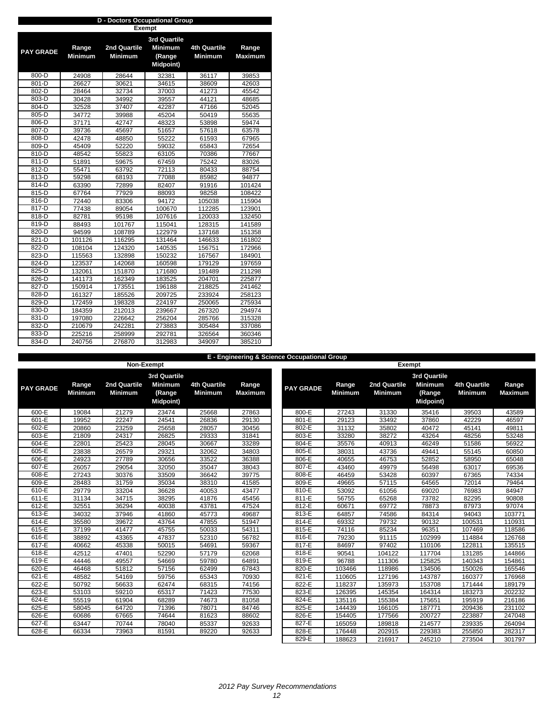|                  |                | <b>Exempt</b> |                     |                     |                |  |  |  |  |  |  |  |  |
|------------------|----------------|---------------|---------------------|---------------------|----------------|--|--|--|--|--|--|--|--|
|                  |                |               | <b>3rd Quartile</b> |                     |                |  |  |  |  |  |  |  |  |
|                  | Range          | 2nd Quartile  | <b>Minimum</b>      | <b>4th Quartile</b> | Range          |  |  |  |  |  |  |  |  |
| <b>PAY GRADE</b> | <b>Minimum</b> | Minimum       | (Range              | <b>Minimum</b>      | <b>Maximum</b> |  |  |  |  |  |  |  |  |
|                  |                |               | <b>Midpoint)</b>    |                     |                |  |  |  |  |  |  |  |  |
|                  |                |               |                     |                     |                |  |  |  |  |  |  |  |  |
| 800-D            | 24908          | 28644         | 32381               | 36117               | 39853          |  |  |  |  |  |  |  |  |
| 801-D            | 26627          | 30621         | 34615               | 38609               | 42603          |  |  |  |  |  |  |  |  |
| 802-D            | 28464          | 32734         | 37003               | 41273               | 45542          |  |  |  |  |  |  |  |  |
| 803-D            | 30428          | 34992         | 39557               | 44121               | 48685          |  |  |  |  |  |  |  |  |
| 804-D            | 32528          | 37407         | 42287               | 47166               | 52045          |  |  |  |  |  |  |  |  |
| 805-D            | 34772          | 39988         | 45204               | 50419               | 55635          |  |  |  |  |  |  |  |  |
| 806-D            | 37171          | 42747         | 48323               | 53898               | 59474          |  |  |  |  |  |  |  |  |
| 807-D            | 39736          | 45697         | 51657               | 57618               | 63578          |  |  |  |  |  |  |  |  |
| 808-D            | 42478          | 48850         | 55222               | 61593               | 67965          |  |  |  |  |  |  |  |  |
| 809-D            | 45409          | 52220         | 59032               | 65843               | 72654          |  |  |  |  |  |  |  |  |
| 810-D            | 48542          | 55823         | 63105               | 70386               | 77667          |  |  |  |  |  |  |  |  |
| 811-D            | 51891          | 59675         | 67459               | 75242               | 83026          |  |  |  |  |  |  |  |  |
| 812-D            | 55471          | 63792         | 72113               | 80433               | 88754          |  |  |  |  |  |  |  |  |
| 813-D            | 59298          | 68193         | 77088               | 85982               | 94877          |  |  |  |  |  |  |  |  |
| 814-D            | 63390          | 72899         | 82407               | 91916               | 101424         |  |  |  |  |  |  |  |  |
| 815-D            | 67764          | 77929         | 88093               | 98258               | 108422         |  |  |  |  |  |  |  |  |
| 816-D            | 72440          | 83306         | 94172               | 105038              | 115904         |  |  |  |  |  |  |  |  |
| 817-D            | 77438          | 89054         | 100670              | 112285              | 123901         |  |  |  |  |  |  |  |  |
| 818-D            | 82781          | 95198         | 107616              | 120033              | 132450         |  |  |  |  |  |  |  |  |
| 819-D            | 88493          | 101767        | 115041              | 128315              | 141589         |  |  |  |  |  |  |  |  |
| 820-D            | 94599          | 108789        | 122979              | 137168              | 151358         |  |  |  |  |  |  |  |  |
| 821-D            | 101126         | 116295        | 131464              | 146633              | 161802         |  |  |  |  |  |  |  |  |
| 822-D            | 108104         | 124320        | 140535              | 156751              | 172966         |  |  |  |  |  |  |  |  |
| 823-D            | 115563         | 132898        | 150232              | 167567              | 184901         |  |  |  |  |  |  |  |  |
| 824-D            | 123537         | 142068        | 160598              | 179129              | 197659         |  |  |  |  |  |  |  |  |
| 825-D            | 132061         | 151870        | 171680              | 191489              | 211298         |  |  |  |  |  |  |  |  |
| 826-D            | 141173         | 162349        | 183525              | 204701              | 225877         |  |  |  |  |  |  |  |  |
| 827-D            | 150914         | 173551        | 196188              | 218825              | 241462         |  |  |  |  |  |  |  |  |
| 828-D            | 161327         | 185526        | 209725              | 233924              | 258123         |  |  |  |  |  |  |  |  |
| 829-D            | 172459         | 198328        | 224197              | 250065              | 275934         |  |  |  |  |  |  |  |  |
| 830-D            | 184359         | 212013        | 239667              | 267320              | 294974         |  |  |  |  |  |  |  |  |
| 831-D            | 197080         | 226642        | 256204              | 285766              | 315328         |  |  |  |  |  |  |  |  |
| 832-D            | 210679         | 242281        | 273883              | 305484              | 337086         |  |  |  |  |  |  |  |  |
| 833-D            | 225216         | 258999        | 292781              | 326564              | 360346         |  |  |  |  |  |  |  |  |
| 834-D            | 240756         | 276870        | 312983              | 349097              | 385210         |  |  |  |  |  |  |  |  |

|                  |                         | Non-Exempt                     |                                              |                                       |                         | <b>Exempt</b>    |                         |                                |                                               |                                       |                         |  |
|------------------|-------------------------|--------------------------------|----------------------------------------------|---------------------------------------|-------------------------|------------------|-------------------------|--------------------------------|-----------------------------------------------|---------------------------------------|-------------------------|--|
|                  |                         |                                | 3rd Quartile                                 |                                       |                         |                  |                         |                                | <b>3rd Quartile</b>                           |                                       |                         |  |
| <b>PAY GRADE</b> | Range<br><b>Minimum</b> | 2nd Quartile<br><b>Minimum</b> | <b>Minimum</b><br>(Range<br><b>Midpoint)</b> | <b>4th Quartile</b><br><b>Minimum</b> | Range<br><b>Maximum</b> | <b>PAY GRADE</b> | Range<br><b>Minimum</b> | 2nd Quartile<br><b>Minimum</b> | <b>Minimum</b><br>(Range<br><b>Midpoint</b> ) | <b>4th Quartile</b><br><b>Minimum</b> | Range<br><b>Maximum</b> |  |
| 600-E            | 19084                   | 21279                          | 23474                                        | 25668                                 | 27863                   | 800-E            | 27243                   | 31330                          | 35416                                         | 39503                                 | 43589                   |  |
| 601-E            | 19952                   | 22247                          | 24541                                        | 26836                                 | 29130                   | 801-E            | 29123                   | 33492                          | 37860                                         | 42229                                 | 46597                   |  |
| $602-E$          | 20860                   | 23259                          | 25658                                        | 28057                                 | 30456                   | 802-E            | 31132                   | 35802                          | 40472                                         | 45141                                 | 49811                   |  |
| 603-E            | 21809                   | 24317                          | 26825                                        | 29333                                 | 31841                   | 803-E            | 33280                   | 38272                          | 43264                                         | 48256                                 | 53248                   |  |
| $604-E$          | 22801                   | 25423                          | 28045                                        | 30667                                 | 33289                   | 804-E            | 35576                   | 40913                          | 46249                                         | 51586                                 | 56922                   |  |
| $605-E$          | 23838                   | 26579                          | 29321                                        | 32062                                 | 34803                   | 805-E            | 38031                   | 43736                          | 49441                                         | 55145                                 | 60850                   |  |
| 606-E            | 24923                   | 27789                          | 30656                                        | 33522                                 | 36388                   | 806-E            | 40655                   | 46753                          | 52852                                         | 58950                                 | 65048                   |  |
| 607-E            | 26057                   | 29054                          | 32050                                        | 35047                                 | 38043                   | 807-E            | 43460                   | 49979                          | 56498                                         | 63017                                 | 69536                   |  |
| 608-E            | 27243                   | 30376                          | 33509                                        | 36642                                 | 39775                   | 808-E            | 46459                   | 53428                          | 60397                                         | 67365                                 | 74334                   |  |
| 609-E            | 28483                   | 31759                          | 35034                                        | 38310                                 | 41585                   | 809-E            | 49665                   | 57115                          | 64565                                         | 72014                                 | 79464                   |  |
| 610-E            | 29779                   | 33204                          | 36628                                        | 40053                                 | 43477                   | 810-E            | 53092                   | 61056                          | 69020                                         | 76983                                 | 84947                   |  |
| $611-E$          | 31134                   | 34715                          | 38295                                        | 41876                                 | 45456                   | 811-E            | 56755                   | 65268                          | 73782                                         | 82295                                 | 90808                   |  |
| $612-E$          | 32551                   | 36294                          | 40038                                        | 43781                                 | 47524                   | $812-E$          | 60671                   | 69772                          | 78873                                         | 87973                                 | 97074                   |  |
| $613-E$          | 34032                   | 37946                          | 41860                                        | 45773                                 | 49687                   | 813-E            | 64857                   | 74586                          | 84314                                         | 94043                                 | 103771                  |  |
| $614-E$          | 35580                   | 39672                          | 43764                                        | 47855                                 | 51947                   | $814-E$          | 69332                   | 79732                          | 90132                                         | 100531                                | 110931                  |  |
| $615-E$          | 37199                   | 41477                          | 45755                                        | 50033                                 | 54311                   | 815-E            | 74116                   | 85234                          | 96351                                         | 107469                                | 118586                  |  |
| $616-E$          | 38892                   | 43365                          | 47837                                        | 52310                                 | 56782                   | 816-E            | 79230                   | 91115                          | 102999                                        | 114884                                | 126768                  |  |
| $617-E$          | 40662                   | 45338                          | 50015                                        | 54691                                 | 59367                   | 817-E            | 84697                   | 97402                          | 110106                                        | 122811                                | 135515                  |  |
| 618-E            | 42512                   | 47401                          | 52290                                        | 57179                                 | 62068                   | 818-E            | 90541                   | 104122                         | 117704                                        | 131285                                | 144866                  |  |
| 619-E            | 44446                   | 49557                          | 54669                                        | 59780                                 | 64891                   | 819-E            | 96788                   | 111306                         | 125825                                        | 140343                                | 154861                  |  |
| 620-E            | 46468                   | 51812                          | 57156                                        | 62499                                 | 67843                   | 820-E            | 103466                  | 118986                         | 134506                                        | 150026                                | 165546                  |  |
| 621-E            | 48582                   | 54169                          | 59756                                        | 65343                                 | 70930                   | 821-E            | 110605                  | 127196                         | 143787                                        | 160377                                | 176968                  |  |
| $622-E$          | 50792                   | 56633                          | 62474                                        | 68315                                 | 74156                   | 822-E            | 118237                  | 135973                         | 153708                                        | 171444                                | 189179                  |  |
| 623-E            | 53103                   | 59210                          | 65317                                        | 71423                                 | 77530                   | 823-E            | 126395                  | 145354                         | 164314                                        | 183273                                | 202232                  |  |
| $624-E$          | 55519                   | 61904                          | 68289                                        | 74673                                 | 81058                   | 824-E            | 135116                  | 155384                         | 175651                                        | 195919                                | 216186                  |  |
| $625-E$          | 58045                   | 64720                          | 71396                                        | 78071                                 | 84746                   | 825-E            | 144439                  | 166105                         | 187771                                        | 209436                                | 231102                  |  |
| 626-E            | 60686                   | 67665                          | 74644                                        | 81623                                 | 88602                   | 826-E            | 154405                  | 177566                         | 200727                                        | 223887                                | 247048                  |  |
| $627-E$          | 63447                   | 70744                          | 78040                                        | 85337                                 | 92633                   | 827-E            | 165059                  | 189818                         | 214577                                        | 239335                                | 264094                  |  |
| 628-E            | 66334                   | 73963                          | 81591                                        | 89220                                 | 92633                   | 828-E            | 176448                  | 202915                         | 229383                                        | 255850                                | 282317                  |  |
|                  |                         |                                |                                              |                                       |                         | 829-E            | 188623                  | 216917                         | 245210                                        | 273504                                | 301797                  |  |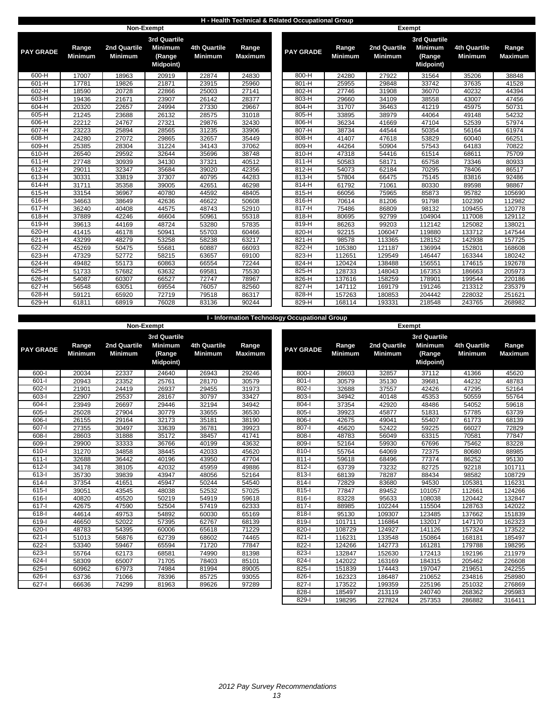### **H - Health Technical & Related Occupational Group**

|                  | Non-Exempt              |                                |                                              |                                       |                         |                  |                         |                                | Exempt                                        |                                       |                         |
|------------------|-------------------------|--------------------------------|----------------------------------------------|---------------------------------------|-------------------------|------------------|-------------------------|--------------------------------|-----------------------------------------------|---------------------------------------|-------------------------|
|                  |                         |                                | <b>3rd Quartile</b>                          |                                       |                         |                  |                         |                                | 3rd Quartile                                  |                                       |                         |
| <b>PAY GRADE</b> | Range<br><b>Minimum</b> | 2nd Quartile<br><b>Minimum</b> | <b>Minimum</b><br>(Range<br><b>Midpoint)</b> | <b>4th Quartile</b><br><b>Minimum</b> | Range<br><b>Maximum</b> | <b>PAY GRADE</b> | Range<br><b>Minimum</b> | 2nd Quartile<br><b>Minimum</b> | <b>Minimum</b><br>(Range<br><b>Midpoint</b> ) | <b>4th Quartile</b><br><b>Minimum</b> | Range<br><b>Maximum</b> |
| $600-H$          | 17007                   | 18963                          | 20919                                        | 22874                                 | 24830                   | $800-H$          | 24280                   | 27922                          | 31564                                         | 35206                                 | 38848                   |
| 601-H            | 17781                   | 19826                          | 21871                                        | 23915                                 | 25960                   | $801-H$          | 25955                   | 29848                          | 33742                                         | 37635                                 | 41528                   |
| $602-H$          | 18590                   | 20728                          | 22866                                        | 25003                                 | 27141                   | $802-H$          | 27746                   | 31908                          | 36070                                         | 40232                                 | 44394                   |
| $603-H$          | 19436                   | 21671                          | 23907                                        | 26142                                 | 28377                   | $803-H$          | 29660                   | 34109                          | 38558                                         | 43007                                 | 47456                   |
| 604-H            | 20320                   | 22657                          | 24994                                        | 27330                                 | 29667                   | 804-H            | 31707                   | 36463                          | 41219                                         | 45975                                 | 50731                   |
| $605-H$          | 21245                   | 23688                          | 26132                                        | 28575                                 | 31018                   | 805-H            | 33895                   | 38979                          | 44064                                         | 49148                                 | 54232                   |
| $606-H$          | 22212                   | 24767                          | 27321                                        | 29876                                 | 32430                   | 806-H            | 36234                   | 41669                          | 47104                                         | 52539                                 | 57974                   |
| 607-H            | 23223                   | 25894                          | 28565                                        | 31235                                 | 33906                   | 807-H            | 38734                   | 44544                          | 50354                                         | 56164                                 | 61974                   |
| 608-H            | 24280                   | 27072                          | 29865                                        | 32657                                 | 35449                   | 808-H            | 41407                   | 47618                          | 53829                                         | 60040                                 | 66251                   |
| 609-H            | 25385                   | 28304                          | 31224                                        | 34143                                 | 37062                   | 809-H            | 44264                   | 50904                          | 57543                                         | 64183                                 | 70822                   |
| 610-H            | 26540                   | 29592                          | 32644                                        | 35696                                 | 38748                   | 810-H            | 47318                   | 54416                          | 61514                                         | 68611                                 | 75709                   |
| 611-H            | 27748                   | 30939                          | 34130                                        | 37321                                 | 40512                   | 811-H            | 50583                   | 58171                          | 65758                                         | 73346                                 | 80933                   |
| 612-H            | 29011                   | 32347                          | 35684                                        | 39020                                 | 42356                   | 812-H            | 54073                   | 62184                          | 70295                                         | 78406                                 | 86517                   |
| $613-H$          | 30331                   | 33819                          | 37307                                        | 40795                                 | 44283                   | $813-H$          | 57804                   | 66475                          | 75145                                         | 83816                                 | 92486                   |
| $614-H$          | 31711                   | 35358                          | 39005                                        | 42651                                 | 46298                   | $814-H$          | 61792                   | 71061                          | 80330                                         | 89598                                 | 98867                   |
| $615-H$          | 33154                   | 36967                          | 40780                                        | 44592                                 | 48405                   | $815-H$          | 66056                   | 75965                          | 85873                                         | 95782                                 | 105690                  |
| $616-H$          | 34663                   | 38649                          | 42636                                        | 46622                                 | 50608                   | $816-H$          | 70614                   | 81206                          | 91798                                         | 102390                                | 112982                  |
| $617-H$          | 36240                   | 40408                          | 44575                                        | 48743                                 | 52910                   | $817-H$          | 75486                   | 86809                          | 98132                                         | 109455                                | 120778                  |
| $618-H$          | 37889                   | 42246                          | 46604                                        | 50961                                 | 55318                   | $818-H$          | 80695                   | 92799                          | 104904                                        | 117008                                | 129112                  |
| $619-H$          | 39613                   | 44169                          | 48724                                        | 53280                                 | 57835                   | $819-H$          | 86263                   | 99203                          | 112142                                        | 125082                                | 138021                  |
| $620-H$          | 41415                   | 46178                          | 50941                                        | 55703                                 | 60466                   | 820-H            | 92215                   | 106047                         | 119880                                        | 133712                                | 147544                  |
| $621-H$          | 43299                   | 48279                          | 53258                                        | 58238                                 | 63217                   | 821-H            | 98578                   | 113365                         | 128152                                        | 142938                                | 157725                  |
| $622-H$          | 45269                   | 50475                          | 55681                                        | 60887                                 | 66093                   | 822-H            | 105380                  | 121187                         | 136994                                        | 152801                                | 168608                  |
| $623-H$          | 47329                   | 52772                          | 58215                                        | 63657                                 | 69100                   | 823-H            | 112651                  | 129549                         | 146447                                        | 163344                                | 180242                  |
| $624-H$          | 49482                   | 55173                          | 60863                                        | 66554                                 | 72244                   | 824-H            | 120424                  | 138488                         | 156551                                        | 174615                                | 192678                  |
| $625-H$          | 51733                   | 57682                          | 63632                                        | 69581                                 | 75530                   | 825-H            | 128733                  | 148043                         | 167353                                        | 186663                                | 205973                  |
| 626-H            | 54087                   | 60307                          | 66527                                        | 72747                                 | 78967                   | 826-H            | 137616                  | 158259                         | 178901                                        | 199544                                | 220186                  |
| $627-H$          | 56548                   | 63051                          | 69554                                        | 76057                                 | 82560                   | 827-H            | 147112                  | 169179                         | 191246                                        | 213312                                | 235379                  |
| 628-H            | 59121                   | 65920                          | 72719                                        | 79518                                 | 86317                   | 828-H            | 157263                  | 180853                         | 204442                                        | 228032                                | 251621                  |
| 629-H            | 61811                   | 68919                          | 76028                                        | 83136                                 | 90244                   | 829-H            | 168114                  | 193331                         | 218548                                        | 243765                                | 268982                  |

|                  |                |                |                  |                     |                | <b>I - Information Technology Occupational Group</b> |                |                |                     |                |                    |
|------------------|----------------|----------------|------------------|---------------------|----------------|------------------------------------------------------|----------------|----------------|---------------------|----------------|--------------------|
|                  |                |                | Non-Exempt       |                     |                |                                                      |                |                | Exempt              |                |                    |
|                  |                |                | 3rd Quartile     |                     |                |                                                      |                |                | <b>3rd Quartile</b> |                |                    |
|                  | Range          | 2nd Quartile   | <b>Minimum</b>   | <b>4th Quartile</b> | Range          |                                                      | Range          | 2nd Quartile   | <b>Minimum</b>      | 4th Quartile   | Range              |
| <b>PAY GRADE</b> | <b>Minimum</b> | <b>Minimum</b> | (Range           | <b>Minimum</b>      | <b>Maximum</b> | <b>PAY GRADE</b>                                     | <b>Minimum</b> | <b>Minimum</b> | (Range              | <b>Minimum</b> | <b>Maximu</b>      |
|                  |                |                | <b>Midpoint)</b> |                     |                |                                                      |                |                | <b>Midpoint)</b>    |                |                    |
|                  |                |                |                  |                     |                |                                                      |                |                |                     |                |                    |
| $600 - 1$        | 20034          | 22337          | 24640            | 26943               | 29246          | $800 - 1$                                            | 28603          | 32857          | 37112               | 41366          | 45620              |
| $601 - 1$        | 20943          | 23352          | 25761            | 28170               | 30579          | $801 -$                                              | 30579          | 35130          | 39681               | 44232          | 48783              |
| $602 - 1$        | 21901          | 24419          | 26937            | 29455               | 31973          | $802 -$                                              | 32688          | 37557          | 42426               | 47295          | 52164              |
| 603-l            | 22907          | 25537          | 28167            | 30797               | 33427          | 803-l                                                | 34942          | 40148          | 45353               | 50559          | 55764              |
| $604 -$          | 23949          | 26697          | 29446            | 32194               | 34942          | $804 -$                                              | 37354          | 42920          | 48486               | 54052          | 59618              |
| $605 - 1$        | 25028          | 27904          | 30779            | 33655               | 36530          | 805-l                                                | 39923          | 45877          | 51831               | 57785          | 63739              |
| $606 -$          | 26155          | 29164          | 32173            | 35181               | 38190          | $806 -$                                              | 42675          | 49041          | 55407               | 61773          | 68139              |
| 607-l            | 27355          | 30497          | 33639            | 36781               | 39923          | 807-l                                                | 45620          | 52422          | 59225               | 66027          | 72829              |
| $608 - 1$        | 28603          | 31888          | 35172            | 38457               | 41741          | $808 -$                                              | 48783          | 56049          | 63315               | 70581          | 77847              |
| 609-l            | 29900          | 33333          | 36766            | 40199               | 43632          | 809-l                                                | 52164          | 59930          | 67696               | 75462          | 83228              |
| $610 - 1$        | 31270          | 34858          | 38445            | 42033               | 45620          | $810-I$                                              | 55764          | 64069          | 72375               | 80680          | 88985              |
| $611 -$          | 32688          | 36442          | 40196            | 43950               | 47704          | $811 -$                                              | 59618          | 68496          | 77374               | 86252          | 95130              |
| $612 -$          | 34178          | 38105          | 42032            | 45959               | 49886          | $812 -$                                              | 63739          | 73232          | 82725               | 92218          | 10171 <sup>-</sup> |
| $613 - 1$        | 35730          | 39839          | 43947            | 48056               | 52164          | 813-l                                                | 68139          | 78287          | 88434               | 98582          | 10872              |
| $614 -$          | 37354          | 41651          | 45947            | 50244               | 54540          | $814 -$                                              | 72829          | 83680          | 94530               | 105381         | 11623              |
| $615 -$          | 39051          | 43545          | 48038            | 52532               | 57025          | $815 -$                                              | 77847          | 89452          | 101057              | 112661         | 12426              |
| $616 -$          | 40820          | 45520          | 50219            | 54919               | 59618          | $816 - 1$                                            | 83228          | 95633          | 108038              | 120442         | 13284              |
| $617 -$          | 42675          | 47590          | 52504            | 57419               | 62333          | $817 -$                                              | 88985          | 102244         | 115504              | 128763         | 142022             |
| $618 -$          | 44614          | 49753          | 54892            | 60030               | 65169          | $818 -$                                              | 95130          | 109307         | 123485              | 137662         | 15183              |
| 619-l            | 46650          | 52022          | 57395            | 62767               | 68139          | 819-l                                                | 101711         | 116864         | 132017              | 147170         | 16232              |
| $620 - 1$        | 48783          | 54395          | 60006            | 65618               | 71229          | $820 -$                                              | 108729         | 124927         | 141126              | 157324         | 173522             |
| $621 -$          | 51013          | 56876          | 62739            | 68602               | 74465          | $821 -$                                              | 116231         | 133548         | 150864              | 168181         | 18549              |
| $622 - I$        | 53340          | 59467          | 65594            | 71720               | 77847          | 822-l                                                | 124266         | 142773         | 161281              | 179788         | 19829              |
| $623 - 1$        | 55764          | 62173          | 68581            | 74990               | 81398          | 823-l                                                | 132847         | 152630         | 172413              | 192196         | 21197              |
| $624 -$          | 58309          | 65007          | 71705            | 78403               | 85101          | 824-l                                                | 142022         | 163169         | 184315              | 205462         | 22660              |
| $625 -$          | 60962          | 67973          | 74984            | 81994               | 89005          | 825-l                                                | 151839         | 174443         | 197047              | 219651         | 24225              |
| 626-l            | 63736          | 71066          | 78396            | 85725               | 93055          | 826-l                                                | 162323         | 186487         | 210652              | 234816         | 25898              |
| $627 -$          | 66636          | 74299          | 81963            | 89626               | 97289          | $827 - 1$                                            | 173522         | 199359         | 225196              | 251032         | 27686              |

|              |                         | NON-Exempt                     |                                              |                                       |                         | Exempt           |                         |                                |                                               |                                       |                         |  |
|--------------|-------------------------|--------------------------------|----------------------------------------------|---------------------------------------|-------------------------|------------------|-------------------------|--------------------------------|-----------------------------------------------|---------------------------------------|-------------------------|--|
|              |                         |                                | 3rd Quartile                                 |                                       |                         |                  |                         |                                | <b>3rd Quartile</b>                           |                                       |                         |  |
| <b>GRADE</b> | Range<br><b>Minimum</b> | 2nd Quartile<br><b>Minimum</b> | <b>Minimum</b><br>(Range<br><b>Midpoint)</b> | <b>4th Quartile</b><br><b>Minimum</b> | Range<br><b>Maximum</b> | <b>PAY GRADE</b> | Range<br><b>Minimum</b> | 2nd Quartile<br><b>Minimum</b> | <b>Minimum</b><br>(Range<br><b>Midpoint</b> ) | <b>4th Quartile</b><br><b>Minimum</b> | Range<br><b>Maximum</b> |  |
| 600-l        | 20034                   | 22337                          | 24640                                        | 26943                                 | 29246                   | 800-l            | 28603                   | 32857                          | 37112                                         | 41366                                 | 45620                   |  |
| 601-l        | 20943                   | 23352                          | 25761                                        | 28170                                 | 30579                   | $801 -$          | 30579                   | 35130                          | 39681                                         | 44232                                 | 48783                   |  |
| 602-l        | 21901                   | 24419                          | 26937                                        | 29455                                 | 31973                   | $802 -$          | 32688                   | 37557                          | 42426                                         | 47295                                 | 52164                   |  |
| $603 - 1$    | 22907                   | 25537                          | 28167                                        | 30797                                 | 33427                   | 803-l            | 34942                   | 40148                          | 45353                                         | 50559                                 | 55764                   |  |
| $604 -$      | 23949                   | 26697                          | 29446                                        | 32194                                 | 34942                   | $804 -$          | 37354                   | 42920                          | 48486                                         | 54052                                 | 59618                   |  |
| $605 - 1$    | 25028                   | 27904                          | 30779                                        | 33655                                 | 36530                   | $805 -$          | 39923                   | 45877                          | 51831                                         | 57785                                 | 63739                   |  |
| 606-l        | 26155                   | 29164                          | 32173                                        | 35181                                 | 38190                   | 806-l            | 42675                   | 49041                          | 55407                                         | 61773                                 | 68139                   |  |
| $607 - 1$    | 27355                   | 30497                          | 33639                                        | 36781                                 | 39923                   | $807 -$          | 45620                   | 52422                          | 59225                                         | 66027                                 | 72829                   |  |
| 608-l        | 28603                   | 31888                          | 35172                                        | 38457                                 | 41741                   | $808 -$          | 48783                   | 56049                          | 63315                                         | 70581                                 | 77847                   |  |
| 609-l        | 29900                   | 33333                          | 36766                                        | 40199                                 | 43632                   | 809-l            | 52164                   | 59930                          | 67696                                         | 75462                                 | 83228                   |  |
| 610-l        | 31270                   | 34858                          | 38445                                        | 42033                                 | 45620                   | $810 -$          | 55764                   | 64069                          | 72375                                         | 80680                                 | 88985                   |  |
| 611-l        | 32688                   | 36442                          | 40196                                        | 43950                                 | 47704                   | $811 -$          | 59618                   | 68496                          | 77374                                         | 86252                                 | 95130                   |  |
| 612-l        | 34178                   | 38105                          | 42032                                        | 45959                                 | 49886                   | 812-l            | 63739                   | 73232                          | 82725                                         | 92218                                 | 101711                  |  |
| 613-l        | 35730                   | 39839                          | 43947                                        | 48056                                 | 52164                   | $813 -$          | 68139                   | 78287                          | 88434                                         | 98582                                 | 108729                  |  |
| 614-l        | 37354                   | 41651                          | 45947                                        | 50244                                 | 54540                   | $814 -$          | 72829                   | 83680                          | 94530                                         | 105381                                | 116231                  |  |
| $615 -$      | 39051                   | 43545                          | 48038                                        | 52532                                 | 57025                   | 815-l            | 77847                   | 89452                          | 101057                                        | 112661                                | 124266                  |  |
| $616 -$      | 40820                   | 45520                          | 50219                                        | 54919                                 | 59618                   | $816 -$          | 83228                   | 95633                          | 108038                                        | 120442                                | 132847                  |  |
| $617 -$      | 42675                   | 47590                          | 52504                                        | 57419                                 | 62333                   | $817 -$          | 88985                   | 102244                         | 115504                                        | 128763                                | 142022                  |  |
| 618-l        | 44614                   | 49753                          | 54892                                        | 60030                                 | 65169                   | $818 -$          | 95130                   | 109307                         | 123485                                        | 137662                                | 151839                  |  |
| 619-l        | 46650                   | 52022                          | 57395                                        | 62767                                 | 68139                   | 819-l            | 101711                  | 116864                         | 132017                                        | 147170                                | 162323                  |  |
| 620-l        | 48783                   | 54395                          | 60006                                        | 65618                                 | 71229                   | 820-l            | 108729                  | 124927                         | 141126                                        | 157324                                | 173522                  |  |
| 621-l        | 51013                   | 56876                          | 62739                                        | 68602                                 | 74465                   | $821 -$          | 116231                  | 133548                         | 150864                                        | 168181                                | 185497                  |  |
| $622 - 1$    | 53340                   | 59467                          | 65594                                        | 71720                                 | 77847                   | $822 -$          | 124266                  | 142773                         | 161281                                        | 179788                                | 198295                  |  |
| 623-l        | 55764                   | 62173                          | 68581                                        | 74990                                 | 81398                   | $823 -$          | 132847                  | 152630                         | 172413                                        | 192196                                | 211979                  |  |
| 624-l        | 58309                   | 65007                          | 71705                                        | 78403                                 | 85101                   | $824 -$          | 142022                  | 163169                         | 184315                                        | 205462                                | 226608                  |  |
| 625-l        | 60962                   | 67973                          | 74984                                        | 81994                                 | 89005                   | $825 -$          | 151839                  | 174443                         | 197047                                        | 219651                                | 242255                  |  |
| 626-l        | 63736                   | 71066                          | 78396                                        | 85725                                 | 93055                   | 826-l            | 162323                  | 186487                         | 210652                                        | 234816                                | 258980                  |  |
| $627 - 1$    | 66636                   | 74299                          | 81963                                        | 89626                                 | 97289                   | 827-l            | 173522                  | 199359                         | 225196                                        | 251032                                | 276869                  |  |
|              |                         |                                |                                              |                                       |                         | 828-l            | 185497                  | 213119                         | 240740                                        | 268362                                | 295983                  |  |
|              |                         |                                |                                              |                                       |                         | 829-             | 198295                  | 227824                         | 257353                                        | 286882                                | 316411                  |  |
|              |                         |                                |                                              |                                       |                         |                  |                         |                                |                                               |                                       |                         |  |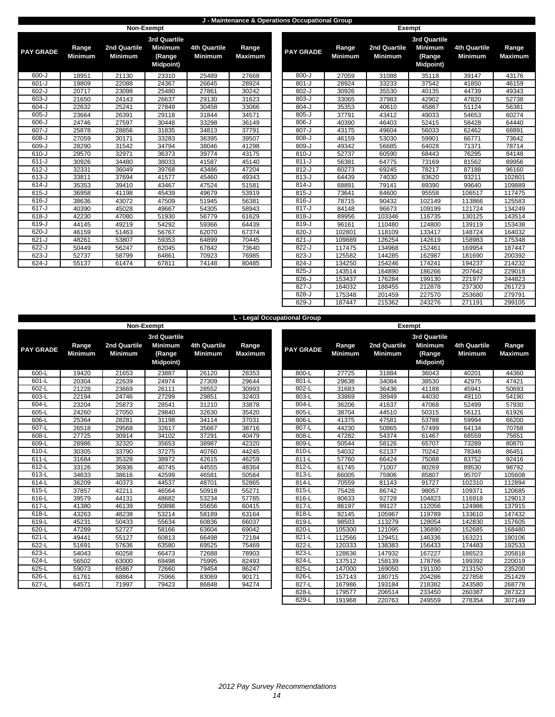#### **J - Maintenance & Operations Occupational Group**

**L - Legal Occupational Group**

|                  |                         | Non-Exempt                     |                                                                     |                                       |                         |                  |                         |                                | <b>Exempt</b>             |
|------------------|-------------------------|--------------------------------|---------------------------------------------------------------------|---------------------------------------|-------------------------|------------------|-------------------------|--------------------------------|---------------------------|
| <b>PAY GRADE</b> | Range<br><b>Minimum</b> | 2nd Quartile<br><b>Minimum</b> | <b>3rd Quartile</b><br><b>Minimum</b><br>(Range<br><b>Midpoint)</b> | <b>4th Quartile</b><br><b>Minimum</b> | Range<br><b>Maximum</b> | <b>PAY GRADE</b> | Range<br><b>Minimum</b> | 2nd Quartile<br><b>Minimum</b> | 3r <sub>c</sub><br>M<br>M |
| $600 - J$        | 18951                   | 21130                          | 23310                                                               | 25489                                 | 27668                   | $800-J$          | 27059                   | 31088                          |                           |
| $601 - J$        | 19809                   | 22088                          | 24367                                                               | 26645                                 | 28924                   | $801 - J$        | 28924                   | 33233                          |                           |
| $602-J$          | 20717                   | 23098                          | 25480                                                               | 27861                                 | 30242                   | $802-J$          | 30926                   | 35530                          |                           |
| $603 - J$        | 21650                   | 24143                          | 26637                                                               | 29130                                 | 31623                   | $803-J$          | 33065                   | 37983                          |                           |
| $604 - J$        | 22632                   | 25241                          | 27849                                                               | 30458                                 | 33066                   | $804-J$          | 35353                   | 40610                          |                           |
| $605 - J$        | 23664                   | 26391                          | 29118                                                               | 31844                                 | 34571                   | $805 - J$        | 37791                   | 43412                          |                           |
| $606 - J$        | 24746                   | 27597                          | 30448                                                               | 33298                                 | 36149                   | $806 - J$        | 40390                   | 46403                          |                           |
| $607 - J$        | 25878                   | 28856                          | 31835                                                               | 34813                                 | 37791                   | $807 - J$        | 43175                   | 49604                          |                           |
| $608 - J$        | 27059                   | 30171                          | 33283                                                               | 36395                                 | 39507                   | $808-J$          | 46159                   | 53030                          |                           |
| 609-J            | 28290                   | 31542                          | 34794                                                               | 38046                                 | 41298                   | $809-J$          | 49342                   | 56685                          |                           |
| $610 - J$        | 29570                   | 32971                          | 36373                                                               | 39774                                 | 43175                   | $810 - J$        | 52737                   | 60590                          |                           |
| $611 - J$        | 30926                   | 34480                          | 38033                                                               | 41587                                 | 45140                   | $811 - J$        | 56381                   | 64775                          |                           |
| $612-J$          | 32331                   | 36049                          | 39768                                                               | 43486                                 | 47204                   | $812-J$          | 60273                   | 69245                          |                           |
| $613-J$          | 33811                   | 37694                          | 41577                                                               | 45460                                 | 49343                   | $813-J$          | 64439                   | 74030                          |                           |
| $614 - J$        | 35353                   | 39410                          | 43467                                                               | 47524                                 | 51581                   | $814 - J$        | 68891                   | 79141                          |                           |
| $615 - J$        | 36958                   | 41198                          | 45439                                                               | 49679                                 | 53919                   | $815 - J$        | 73641                   | 84600                          |                           |
| $616 - J$        | 38636                   | 43072                          | 47509                                                               | 51945                                 | 56381                   | $816 - J$        | 78715                   | 90432                          |                           |
| $617 - J$        | 40390                   | 45028                          | 49667                                                               | 54305                                 | 58943                   | $817 - J$        | 84148                   | 96673                          |                           |
| $618-J$          | 42230                   | 47080                          | 51930                                                               | 56779                                 | 61629                   | $818-J$          | 89956                   | 103346                         |                           |
| $619-J$          | 44145                   | 49219                          | 54292                                                               | 59366                                 | 64439                   | $819-J$          | 96161                   | 110480                         |                           |
| $620 - J$        | 46159                   | 51463                          | 56767                                                               | 62070                                 | 67374                   | $820 - J$        | 102801                  | 118109                         |                           |
| $621 - J$        | 48261                   | 53807                          | 59353                                                               | 64899                                 | 70445                   | $821 - J$        | 109889                  | 126254                         |                           |
| $622 - J$        | 50449                   | 56247                          | 62045                                                               | 67842                                 | 73640                   | $822-J$          | 117475                  | 134968                         |                           |
| $623-J$          | 52737                   | 58799                          | 64861                                                               | 70923                                 | 76985                   | $823-J$          | 125582                  | 144285                         |                           |
| $624 - J$        | 55137                   | 61474                          | 67811                                                               | 74148                                 | 80485                   | $824-J$          | 134250                  | 154246                         |                           |
|                  |                         |                                |                                                                     |                                       |                         |                  |                         |                                |                           |

| <b>GRADE</b> | Range<br>Minimum | 2nd Quartile<br><b>Minimum</b> | <b>3rd Quartile</b><br><b>Minimum</b><br>(Range<br><b>Midpoint</b> ) | <b>4th Quartile</b><br><b>Minimum</b> | Range<br><b>Maximum</b> | <b>PAY GRADE</b> | Range<br><b>Minimum</b> | 2nd Quartile<br><b>Minimum</b> | 3rd Quartile<br><b>Minimum</b><br>(Range<br><b>Midpoint)</b> | <b>4th Quartile</b><br>Minimum | Range<br><b>Maximum</b> |
|--------------|------------------|--------------------------------|----------------------------------------------------------------------|---------------------------------------|-------------------------|------------------|-------------------------|--------------------------------|--------------------------------------------------------------|--------------------------------|-------------------------|
| 600-J        | 18951            | 21130                          | 23310                                                                | 25489                                 | 27668                   | $800 - J$        | 27059                   | 31088                          | 35118                                                        | 39147                          | 43176                   |
| $601 - J$    | 19809            | 22088                          | 24367                                                                | 26645                                 | 28924                   | $801 - J$        | 28924                   | 33233                          | 37542                                                        | 41850                          | 46159                   |
| 602-J        | 20717            | 23098                          | 25480                                                                | 27861                                 | 30242                   | $802-J$          | 30926                   | 35530                          | 40135                                                        | 44739                          | 49343                   |
| $603 - J$    | 21650            | 24143                          | 26637                                                                | 29130                                 | 31623                   | $803 - J$        | 33065                   | 37983                          | 42902                                                        | 47820                          | 52738                   |
| 604-J        | 22632            | 25241                          | 27849                                                                | 30458                                 | 33066                   | $804-J$          | 35353                   | 40610                          | 45867                                                        | 51124                          | 56381                   |
| 605-J        | 23664            | 26391                          | 29118                                                                | 31844                                 | 34571                   | $805 - J$        | 37791                   | 43412                          | 49033                                                        | 54653                          | 60274                   |
| 606-J        | 24746            | 27597                          | 30448                                                                | 33298                                 | 36149                   | $806 - J$        | 40390                   | 46403                          | 52415                                                        | 58428                          | 64440                   |
| 607-J        | 25878            | 28856                          | 31835                                                                | 34813                                 | 37791                   | $807 - J$        | 43175                   | 49604                          | 56033                                                        | 62462                          | 68891                   |
| $608 - J$    | 27059            | 30171                          | 33283                                                                | 36395                                 | 39507                   | $808-J$          | 46159                   | 53030                          | 59901                                                        | 66771                          | 73642                   |
| $609 - J$    | 28290            | 31542                          | 34794                                                                | 38046                                 | 41298                   | $809 - J$        | 49342                   | 56685                          | 64028                                                        | 71371                          | 78714                   |
| 610-J        | 29570            | 32971                          | 36373                                                                | 39774                                 | 43175                   | $810 - J$        | 52737                   | 60590                          | 68443                                                        | 76295                          | 84148                   |
| 611-J        | 30926            | 34480                          | 38033                                                                | 41587                                 | 45140                   | $811 - J$        | 56381                   | 64775                          | 73169                                                        | 81562                          | 89956                   |
| 612-J        | 32331            | 36049                          | 39768                                                                | 43486                                 | 47204                   | $812-J$          | 60273                   | 69245                          | 78217                                                        | 87188                          | 96160                   |
| $613 - J$    | 33811            | 37694                          | 41577                                                                | 45460                                 | 49343                   | $813-J$          | 64439                   | 74030                          | 83620                                                        | 93211                          | 102801                  |
| 614-J        | 35353            | 39410                          | 43467                                                                | 47524                                 | 51581                   | $814 - J$        | 68891                   | 79141                          | 89390                                                        | 99640                          | 109889                  |
| 615-J        | 36958            | 41198                          | 45439                                                                | 49679                                 | 53919                   | $815 - J$        | 73641                   | 84600                          | 95558                                                        | 106517                         | 117475                  |
| 616-J        | 38636            | 43072                          | 47509                                                                | 51945                                 | 56381                   | $816-J$          | 78715                   | 90432                          | 102149                                                       | 113866                         | 125583                  |
| $617 - J$    | 40390            | 45028                          | 49667                                                                | 54305                                 | 58943                   | $817 - J$        | 84148                   | 96673                          | 109199                                                       | 121724                         | 134249                  |
| $618 - J$    | 42230            | 47080                          | 51930                                                                | 56779                                 | 61629                   | $818-J$          | 89956                   | 103346                         | 116735                                                       | 130125                         | 143514                  |
| 619-J        | 44145            | 49219                          | 54292                                                                | 59366                                 | 64439                   | $819-J$          | 96161                   | 110480                         | 124800                                                       | 139119                         | 153438                  |
| 620-J        | 46159            | 51463                          | 56767                                                                | 62070                                 | 67374                   | $820 - J$        | 102801                  | 118109                         | 133417                                                       | 148724                         | 164032                  |
| 621-J        | 48261            | 53807                          | 59353                                                                | 64899                                 | 70445                   | $821 - J$        | 109889                  | 126254                         | 142619                                                       | 158983                         | 175348                  |
| 622-J        | 50449            | 56247                          | 62045                                                                | 67842                                 | 73640                   | $822 - J$        | 117475                  | 134968                         | 152461                                                       | 169954                         | 187447                  |
| 623-J        | 52737            | 58799                          | 64861                                                                | 70923                                 | 76985                   | 823-J            | 125582                  | 144285                         | 162987                                                       | 181690                         | 200392                  |
| 624-J        | 55137            | 61474                          | 67811                                                                | 74148                                 | 80485                   | $824-J$          | 134250                  | 154246                         | 174241                                                       | 194237                         | 214232                  |
|              |                  |                                |                                                                      |                                       |                         | $825 - J$        | 143514                  | 164890                         | 186266                                                       | 207642                         | 229018                  |
|              |                  |                                |                                                                      |                                       |                         | $826 - J$        | 153437                  | 176284                         | 199130                                                       | 221977                         | 244823                  |
|              |                  |                                |                                                                      |                                       |                         | $827 - J$        | 164032                  | 188455                         | 212878                                                       | 237300                         | 261723                  |
|              |                  |                                |                                                                      |                                       |                         | 828-J            | 175348                  | 201459                         | 227570                                                       | 253680                         | 279791                  |
|              |                  |                                |                                                                      |                                       |                         | 829-J            | 187447                  | 215362                         | 243276                                                       | 271191                         | 299105                  |

829-L 191968 220763 249559 278354 307149

**Range Maximum**

|                  |                         | Non-Exempt                     |                                                                     |                                       |                         |                  |                         | <b>Exempt</b>                  |                                                                     |                                |                         |
|------------------|-------------------------|--------------------------------|---------------------------------------------------------------------|---------------------------------------|-------------------------|------------------|-------------------------|--------------------------------|---------------------------------------------------------------------|--------------------------------|-------------------------|
| <b>PAY GRADE</b> | Range<br><b>Minimum</b> | 2nd Quartile<br><b>Minimum</b> | <b>3rd Quartile</b><br><b>Minimum</b><br>(Range<br><b>Midpoint)</b> | <b>4th Quartile</b><br><b>Minimum</b> | Range<br><b>Maximum</b> | <b>PAY GRADE</b> | Range<br><b>Minimum</b> | 2nd Quartile<br><b>Minimum</b> | <b>3rd Quartile</b><br><b>Minimum</b><br>(Range<br><b>Midpoint)</b> | 4th Quartile<br><b>Minimum</b> | Range<br><b>Maximur</b> |
| 600-L            | 19420                   | 21653                          | 23887                                                               | 26120                                 | 28353                   | 800-L            | 27725                   | 31884                          | 36043                                                               | 40201                          | 44360                   |
| 601-L            | 20304                   | 22639                          | 24974                                                               | 27309                                 | 29644                   | 801-L            | 29638                   | 34084                          | 38530                                                               | 42975                          | 47421                   |
| 602-L            | 21228                   | 23669                          | 26111                                                               | 28552                                 | 30993                   | 802-L            | 31683                   | 36436                          | 41188                                                               | 45941                          | 50693                   |
| 603-L            | 22194                   | 24746                          | 27299                                                               | 29851                                 | 32403                   | 803-L            | 33869                   | 38949                          | 44030                                                               | 49110                          | 54190                   |
| 604-L            | 23204                   | 25873                          | 28541                                                               | 31210                                 | 33878                   | 804-L            | 36206                   | 41637                          | 47068                                                               | 52499                          | 57930                   |
| 605-L            | 24260                   | 27050                          | 29840                                                               | 32630                                 | 35420                   | 805-L            | 38704                   | 44510                          | 50315                                                               | 56121                          | 61926                   |
| 606-L            | 25364                   | 28281                          | 31198                                                               | 34114                                 | 37031                   | 806-L            | 41375                   | 47581                          | 53788                                                               | 59994                          | 66200                   |
| 607-L            | 26518                   | 29568                          | 32617                                                               | 35667                                 | 38716                   | 807-L            | 44230                   | 50865                          | 57499                                                               | 64134                          | 70768                   |
| 608-L            | 27725                   | 30914                          | 34102                                                               | 37291                                 | 40479                   | 808-L            | 47282                   | 54374                          | 61467                                                               | 68559                          | 75651                   |
| 609-L            | 28986                   | 32320                          | 35653                                                               | 38987                                 | 42320                   | 809-L            | 50544                   | 58126                          | 65707                                                               | 73289                          | 80870                   |
| 610-L            | 30305                   | 33790                          | 37275                                                               | 40760                                 | 44245                   | 810-L            | 54032                   | 62137                          | 70242                                                               | 78346                          | 86451                   |
| $611-L$          | 31684                   | 35328                          | 38972                                                               | 42615                                 | 46259                   | $811-L$          | 57760                   | 66424                          | 75088                                                               | 83752                          | 92416                   |
| $612-L$          | 33126                   | 36936                          | 40745                                                               | 44555                                 | 48364                   | 812-L            | 61745                   | 71007                          | 80269                                                               | 89530                          | 98792                   |
| 613-L            | 34633                   | 38616                          | 42599                                                               | 46581                                 | 50564                   | 813-L            | 66005                   | 75906                          | 85807                                                               | 95707                          | 105608                  |
| 614-L            | 36209                   | 40373                          | 44537                                                               | 48701                                 | 52865                   | 814-L            | 70559                   | 81143                          | 91727                                                               | 102310                         | 112894                  |
| 615-L            | 37857                   | 42211                          | 46564                                                               | 50918                                 | 55271                   | 815-L            | 75428                   | 86742                          | 98057                                                               | 109371                         | 120685                  |
| 616-L            | 39579                   | 44131                          | 48682                                                               | 53234                                 | 57785                   | 816-L            | 80633                   | 92728                          | 104823                                                              | 116918                         | 129013                  |
| $617-L$          | 41380                   | 46139                          | 50898                                                               | 55656                                 | 60415                   | $817-L$          | 86197                   | 99127                          | 112056                                                              | 124986                         | 137915                  |
| 618-L            | 43263                   | 48238                          | 53214                                                               | 58189                                 | 63164                   | 818-L            | 92145                   | 105967                         | 119789                                                              | 133610                         | 147432                  |
| 619-L            | 45231                   | 50433                          | 55634                                                               | 60836                                 | 66037                   | 819-L            | 98503                   | 113279                         | 128054                                                              | 142830                         | 157605                  |
| 620-L            | 47289                   | 52727                          | 58166                                                               | 63604                                 | 69042                   | 820-L            | 105300                  | 121095                         | 136890                                                              | 152685                         | 168480                  |
| $621-L$          | 49441                   | 55127                          | 60813                                                               | 66498                                 | 72184                   | 821-L            | 112566                  | 129451                         | 146336                                                              | 163221                         | 180106                  |
| 622-L            | 51691                   | 57636                          | 63580                                                               | 69525                                 | 75469                   | 822-L            | 120333                  | 138383                         | 156433                                                              | 174483                         | 192533                  |
| 623-L            | 54043                   | 60258                          | 66473                                                               | 72688                                 | 78903                   | 823-L            | 128636                  | 147932                         | 167227                                                              | 186523                         | 205818                  |
| 624-L            | 56502                   | 63000                          | 69498                                                               | 75995                                 | 82493                   | 824-L            | 137512                  | 158139                         | 178766                                                              | 199392                         | 220019                  |
| 625-L            | 59073                   | 65867                          | 72660                                                               | 79454                                 | 86247                   | 825-L            | 147000                  | 169050                         | 191100                                                              | 213150                         | 235200                  |
| 626-L            | 61761                   | 68864                          | 75966                                                               | 83069                                 | 90171                   | 826-L            | 157143                  | 180715                         | 204286                                                              | 227858                         | 251429                  |
| $627-L$          | 64571                   | 71997                          | 79423                                                               | 86848                                 | 94274                   | 827-L            | 167986                  | 193184                         | 218382                                                              | 243580                         | 268778                  |
|                  |                         |                                |                                                                     |                                       |                         | 828-L            | 179577                  | 206514                         | 233450                                                              | 260387                         | 287323                  |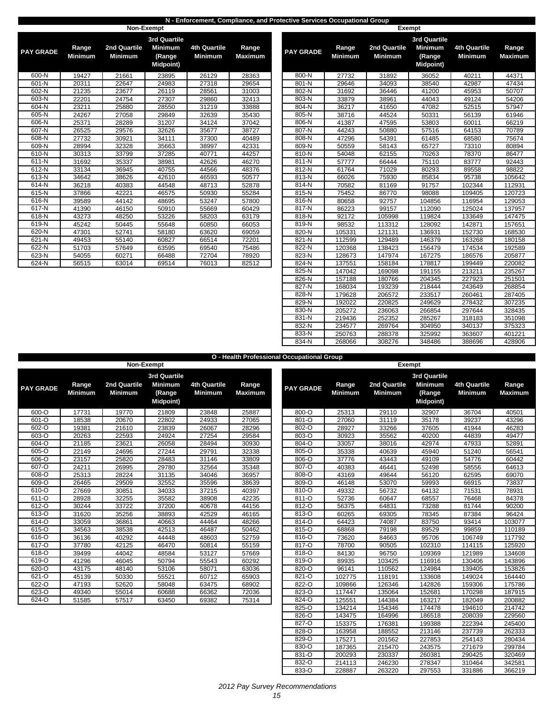### **N - Enforcement, Compliance, and Protective Services Occupational Group**

|                  |                         |                                | Non-Exempt                                                           |                                       |                         |                  |                         | <b>Exempt</b>                  |                           |
|------------------|-------------------------|--------------------------------|----------------------------------------------------------------------|---------------------------------------|-------------------------|------------------|-------------------------|--------------------------------|---------------------------|
| <b>PAY GRADE</b> | Range<br><b>Minimum</b> | 2nd Quartile<br><b>Minimum</b> | <b>3rd Quartile</b><br><b>Minimum</b><br>(Range<br><b>Midpoint</b> ) | <b>4th Quartile</b><br><b>Minimum</b> | Range<br><b>Maximum</b> | <b>PAY GRADE</b> | Range<br><b>Minimum</b> | 2nd Quartile<br><b>Minimum</b> | 3r <sub>c</sub><br>M<br>M |
| 600-N            | 19427                   | 21661                          | 23895                                                                | 26129                                 | 28363                   | 800-N            | 27732                   | 31892                          |                           |
| 601-N            | 20311                   | 22647                          | 24983                                                                | 27318                                 | 29654                   | 801-N            | 29646                   | 34093                          |                           |
| 602-N            | 21235                   | 23677                          | 26119                                                                | 28561                                 | 31003                   | 802-N            | 31692                   | 36446                          |                           |
| 603-N            | 22201                   | 24754                          | 27307                                                                | 29860                                 | 32413                   | 803-N            | 33879                   | 38961                          |                           |
| 604-N            | 23211                   | 25880                          | 28550                                                                | 31219                                 | 33888                   | 804-N            | 36217                   | 41650                          |                           |
| 605-N            | 24267                   | 27058                          | 29849                                                                | 32639                                 | 35430                   | 805-N            | 38716                   | 44524                          |                           |
| 606-N            | 25371                   | 28289                          | 31207                                                                | 34124                                 | 37042                   | 806-N            | 41387                   | 47595                          |                           |
| 607-N            | 26525                   | 29576                          | 32626                                                                | 35677                                 | 38727                   | 807-N            | 44243                   | 50880                          |                           |
| 608-N            | 27732                   | 30921                          | 34111                                                                | 37300                                 | 40489                   | 808-N            | 47296                   | 54391                          |                           |
| 609-N            | 28994                   | 32328                          | 35663                                                                | 38997                                 | 42331                   | 809-N            | 50559                   | 58143                          |                           |
| 610-N            | 30313                   | 33799                          | 37285                                                                | 40771                                 | 44257                   | 810-N            | 54048                   | 62155                          |                           |
| 611-N            | 31692                   | 35337                          | 38981                                                                | 42626                                 | 46270                   | $811 - N$        | 57777                   | 66444                          |                           |
| 612-N            | 33134                   | 36945                          | 40755                                                                | 44566                                 | 48376                   | 812-N            | 61764                   | 71029                          |                           |
| 613-N            | 34642                   | 38626                          | 42610                                                                | 46593                                 | 50577                   | 813-N            | 66026                   | 75930                          |                           |
| 614-N            | 36218                   | 40383                          | 44548                                                                | 48713                                 | 52878                   | 814-N            | 70582                   | 81169                          |                           |
| 615-N            | 37866                   | 42221                          | 46575                                                                | 50930                                 | 55284                   | 815-N            | 75452                   | 86770                          |                           |
| 616-N            | 39589                   | 44142                          | 48695                                                                | 53247                                 | 57800                   | 816-N            | 80658                   | 92757                          |                           |
| 617-N            | 41390                   | 46150                          | 50910                                                                | 55669                                 | 60429                   | 817-N            | 86223                   | 99157                          |                           |
| 618-N            | 43273                   | 48250                          | 53226                                                                | 58203                                 | 63179                   | 818-N            | 92172                   | 105998                         |                           |
| 619-N            | 45242                   | 50445                          | 55648                                                                | 60850                                 | 66053                   | 819-N            | 98532                   | 113312                         |                           |
| 620-N            | 47301                   | 52741                          | 58180                                                                | 63620                                 | 69059                   | 820-N            | 105331                  | 121131                         |                           |
| 621-N            | 49453                   | 55140                          | 60827                                                                | 66514                                 | 72201                   | 821-N            | 112599                  | 129489                         |                           |
| 622-N            | 51703                   | 57649                          | 63595                                                                | 69540                                 | 75486                   | 822-N            | 120368                  | 138423                         |                           |
| 623-N            | 54055                   | 60271                          | 66488                                                                | 72704                                 | 78920                   | 823-N            | 128673                  | 147974                         |                           |
| 624-N            | 56515                   | 63014                          | 69514                                                                | 76013                                 | 82512                   | 824-N            | 137551                  | 158184                         |                           |

| <b><i>CRADE</i></b> | Range<br><b>Minimum</b> | 2nd Quartile<br><b>Minimum</b> | 3rd Quartile<br><b>Minimum</b><br>(Range<br>Midpoint) | 4th Quartile<br><b>Minimum</b> | Range<br><b>Maximum</b> | <b>PAY GRADE</b> | Range<br><b>Minimum</b> | 2nd Quartile<br><b>Minimum</b> | <b>3rd Quartile</b><br><b>Minimum</b><br>(Range<br>Midpoint) | <b>4th Quartile</b><br><b>Minimum</b> | Range<br><b>Maximum</b> |
|---------------------|-------------------------|--------------------------------|-------------------------------------------------------|--------------------------------|-------------------------|------------------|-------------------------|--------------------------------|--------------------------------------------------------------|---------------------------------------|-------------------------|
| $600 - N$           | 19427                   | 21661                          | 23895                                                 | 26129                          | 28363                   | 800-N            | 27732                   | 31892                          | 36052                                                        | 40211                                 | 44371                   |
| 601-N               | 20311                   | 22647                          | 24983                                                 | 27318                          | 29654                   | 801-N            | 29646                   | 34093                          | 38540                                                        | 42987                                 | 47434                   |
| $602 - N$           | 21235                   | 23677                          | 26119                                                 | 28561                          | 31003                   | 802-N            | 31692                   | 36446                          | 41200                                                        | 45953                                 | 50707                   |
| $603-N$             | 22201                   | 24754                          | 27307                                                 | 29860                          | 32413                   | 803-N            | 33879                   | 38961                          | 44043                                                        | 49124                                 | 54206                   |
| 604-N               | 23211                   | 25880                          | 28550                                                 | 31219                          | 33888                   | 804-N            | 36217                   | 41650                          | 47082                                                        | 52515                                 | 57947                   |
| 605-N               | 24267                   | 27058                          | 29849                                                 | 32639                          | 35430                   | 805-N            | 38716                   | 44524                          | 50331                                                        | 56139                                 | 61946                   |
| 606-N               | 25371                   | 28289                          | 31207                                                 | 34124                          | 37042                   | 806-N            | 41387                   | 47595                          | 53803                                                        | 60011                                 | 66219                   |
| 607-N               | 26525                   | 29576                          | 32626                                                 | 35677                          | 38727                   | $807-N$          | 44243                   | 50880                          | 57516                                                        | 64153                                 | 70789                   |
| 608-N               | 27732                   | 30921                          | 34111                                                 | 37300                          | 40489                   | 808-N            | 47296                   | 54391                          | 61485                                                        | 68580                                 | 75674                   |
| 609-N               | 28994                   | 32328                          | 35663                                                 | 38997                          | 42331                   | 809-N            | 50559                   | 58143                          | 65727                                                        | 73310                                 | 80894                   |
| 610-N               | 30313                   | 33799                          | 37285                                                 | 40771                          | 44257                   | 810-N            | 54048                   | 62155                          | 70263                                                        | 78370                                 | 86477                   |
| 611-N               | 31692                   | 35337                          | 38981                                                 | 42626                          | 46270                   | 811-N            | 57777                   | 66444                          | 75110                                                        | 83777                                 | 92443                   |
| 612-N               | 33134                   | 36945                          | 40755                                                 | 44566                          | 48376                   | 812-N            | 61764                   | 71029                          | 80293                                                        | 89558                                 | 98822                   |
| 613-N               | 34642                   | 38626                          | 42610                                                 | 46593                          | 50577                   | 813-N            | 66026                   | 75930                          | 85834                                                        | 95738                                 | 105642                  |
| 614-N               | 36218                   | 40383                          | 44548                                                 | 48713                          | 52878                   | 814-N            | 70582                   | 81169                          | 91757                                                        | 102344                                | 112931                  |
| $615 - N$           | 37866                   | 42221                          | 46575                                                 | 50930                          | 55284                   | 815-N            | 75452                   | 86770                          | 98088                                                        | 109405                                | 120723                  |
| $616 - N$           | 39589                   | 44142                          | 48695                                                 | 53247                          | 57800                   | 816-N            | 80658                   | 92757                          | 104856                                                       | 116954                                | 129053                  |
| 617-N               | 41390                   | 46150                          | 50910                                                 | 55669                          | 60429                   | 817-N            | 86223                   | 99157                          | 112090                                                       | 125024                                | 137957                  |
| 618-N               | 43273                   | 48250                          | 53226                                                 | 58203                          | 63179                   | 818-N            | 92172                   | 105998                         | 119824                                                       | 133649                                | 147475                  |
| 619-N               | 45242                   | 50445                          | 55648                                                 | 60850                          | 66053                   | 819-N            | 98532                   | 113312                         | 128092                                                       | 142871                                | 157651                  |
| 620-N               | 47301                   | 52741                          | 58180                                                 | 63620                          | 69059                   | 820-N            | 105331                  | 121131                         | 136931                                                       | 152730                                | 168530                  |
| $621 - N$           | 49453                   | 55140                          | 60827                                                 | 66514                          | 72201                   | 821-N            | 112599                  | 129489                         | 146379                                                       | 163268                                | 180158                  |
| 622-N               | 51703                   | 57649                          | 63595                                                 | 69540                          | 75486                   | 822-N            | 120368                  | 138423                         | 156479                                                       | 174534                                | 192589                  |
| $623-N$             | 54055                   | 60271                          | 66488                                                 | 72704                          | 78920                   | 823-N            | 128673                  | 147974                         | 167275                                                       | 186576                                | 205877                  |
| 624-N               | 56515                   | 63014                          | 69514                                                 | 76013                          | 82512                   | 824-N            | 137551                  | 158184                         | 178817                                                       | 199449                                | 220082                  |
|                     |                         |                                |                                                       |                                |                         | 825-N            | 147042                  | 169098                         | 191155                                                       | 213211                                | 235267                  |
|                     |                         |                                |                                                       |                                |                         | 826-N            | 157188                  | 180766                         | 204345                                                       | 227923                                | 251501                  |
|                     |                         |                                |                                                       |                                |                         | 827-N            | 168034                  | 193239                         | 218444                                                       | 243649                                | 268854                  |
|                     |                         |                                |                                                       |                                |                         | 828-N            | 179628                  | 206572                         | 233517                                                       | 260461                                | 287405                  |
|                     |                         |                                |                                                       |                                |                         | 829-N            | 192022                  | 220825                         | 249629                                                       | 278432                                | 307235                  |
|                     |                         |                                |                                                       |                                |                         | 830-N            | 205272                  | 236063                         | 266854                                                       | 297644                                | 328435                  |
|                     |                         |                                |                                                       |                                |                         | 831-N            | 219436                  | 252352                         | 285267                                                       | 318183                                | 351098                  |
|                     |                         |                                |                                                       |                                |                         | 832-N            | 234577                  | 269764                         | 304950                                                       | 340137                                | 375323                  |
|                     |                         |                                |                                                       |                                |                         | 833-N            | 250763                  | 288378                         | 325992                                                       | 363607                                | 401221                  |
|                     |                         |                                |                                                       |                                |                         | 834-N            | 268066                  | 308276                         | 348486                                                       | 388696                                | 428906                  |

**O - Health Professional Occupational Group**

|                  |                         |                                | Non-Exempt                                                   |                                       |                         | ncann i roiceanonaí occupationaí eiteap |                         |                                | Exempt                     |
|------------------|-------------------------|--------------------------------|--------------------------------------------------------------|---------------------------------------|-------------------------|-----------------------------------------|-------------------------|--------------------------------|----------------------------|
| <b>PAY GRADE</b> | Range<br><b>Minimum</b> | 2nd Quartile<br><b>Minimum</b> | 3rd Quartile<br><b>Minimum</b><br>(Range<br><b>Midpoint)</b> | <b>4th Quartile</b><br><b>Minimum</b> | Range<br><b>Maximum</b> | <b>PAY GRADE</b>                        | Range<br><b>Minimum</b> | 2nd Quartile<br><b>Minimum</b> | 3rd (<br>Mir<br>(R)<br>Mic |
| 600-O            | 17731                   | 19770                          | 21809                                                        | 23848                                 | 25887                   | 800-O                                   | 25313                   | 29110                          | 3                          |
| 601-O            | 18538                   | 20670                          | 22802                                                        | 24933                                 | 27065                   | 801-O                                   | 27060                   | 31119                          | 3                          |
| 602-O            | 19381                   | 21610                          | 23839                                                        | 26067                                 | 28296                   | 802-O                                   | 28927                   | 33266                          | 3                          |
| 603-O            | 20263                   | 22593                          | 24924                                                        | 27254                                 | 29584                   | 803-O                                   | 30923                   | 35562                          | 4                          |
| 604-O            | 21185                   | 23621                          | 26058                                                        | 28494                                 | 30930                   | 804-O                                   | 33057                   | 38016                          | 4                          |
| 605-O            | 22149                   | 24696                          | 27244                                                        | 29791                                 | 32338                   | 805-O                                   | 35338                   | 40639                          | 4                          |
| 606-O            | 23157                   | 25820                          | 28483                                                        | 31146                                 | 33809                   | 806-O                                   | 37776                   | 43443                          | 4                          |
| $607 - 0$        | 24211                   | 26995                          | 29780                                                        | 32564                                 | 35348                   | 807-O                                   | 40383                   | 46441                          | 5                          |
| 608-O            | 25313                   | 28224                          | 31135                                                        | 34046                                 | 36957                   | 808-O                                   | 43169                   | 49644                          | 5                          |
| 609-O            | 26465                   | 29509                          | 32552                                                        | 35596                                 | 38639                   | 809-O                                   | 46148                   | 53070                          | 5                          |
| 610-O            | 27669                   | 30851                          | 34033                                                        | 37215                                 | 40397                   | 810-O                                   | 49332                   | 56732                          | 6                          |
| 611-O            | 28928                   | 32255                          | 35582                                                        | 38908                                 | 42235                   | 811-O                                   | 52736                   | 60647                          | 6                          |
| 612-O            | 30244                   | 33722                          | 37200                                                        | 40678                                 | 44156                   | 812-O                                   | 56375                   | 64831                          | $\overline{7}$             |
| 613-O            | 31620                   | 35256                          | 38893                                                        | 42529                                 | 46165                   | 813-O                                   | 60265                   | 69305                          | 7                          |
| 614-O            | 33059                   | 36861                          | 40663                                                        | 44464                                 | 48266                   | 814-O                                   | 64423                   | 74087                          | 8                          |
| 615-O            | 34563                   | 38538                          | 42513                                                        | 46487                                 | 50462                   | 815-O                                   | 68868                   | 79198                          | 8                          |
| 616-O            | 36136                   | 40292                          | 44448                                                        | 48603                                 | 52759                   | 816-O                                   | 73620                   | 84663                          | 9                          |
| 617-O            | 37780                   | 42125                          | 46470                                                        | 50814                                 | 55159                   | 817-O                                   | 78700                   | 90505                          | 10                         |
| 618-O            | 39499                   | 44042                          | 48584                                                        | 53127                                 | 57669                   | 818-O                                   | 84130                   | 96750                          | 10                         |
| 619-O            | 41296                   | 46045                          | 50794                                                        | 55543                                 | 60292                   | 819-O                                   | 89935                   | 103425                         | 11                         |
| 620-O            | 43175                   | 48140                          | 53106                                                        | 58071                                 | 63036                   | 820-O                                   | 96141                   | 110562                         | 12                         |
| 621-O            | 45139                   | 50330                          | 55521                                                        | 60712                                 | 65903                   | 821-O                                   | 102775                  | 118191                         | 13                         |
| 622-O            | 47193                   | 52620                          | 58048                                                        | 63475                                 | 68902                   | 822-O                                   | 109866                  | 126346                         | 14                         |
| 623-O            | 49340                   | 55014                          | 60688                                                        | 66362                                 | 72036                   | 823-O                                   | 117447                  | 135064                         | 15                         |
| 624-O            | 51585                   | 57517                          | 63450                                                        | 69382                                 | 75314                   | 824-O                                   | 125551                  | 144384                         | 16                         |

|              |                         |                                | 3rd Quartile                                 |                                       |                         |                  |                         |                                | 3rd Quartile                                 |                                       |                         |
|--------------|-------------------------|--------------------------------|----------------------------------------------|---------------------------------------|-------------------------|------------------|-------------------------|--------------------------------|----------------------------------------------|---------------------------------------|-------------------------|
| <b>GRADE</b> | Range<br><b>Minimum</b> | 2nd Quartile<br><b>Minimum</b> | <b>Minimum</b><br>(Range<br><b>Midpoint)</b> | <b>4th Quartile</b><br><b>Minimum</b> | Range<br><b>Maximum</b> | <b>PAY GRADE</b> | Range<br><b>Minimum</b> | 2nd Quartile<br><b>Minimum</b> | <b>Minimum</b><br>(Range<br><b>Midpoint)</b> | <b>4th Quartile</b><br><b>Minimum</b> | Range<br><b>Maximum</b> |
| 600-O        | 17731                   | 19770                          | 21809                                        | 23848                                 | 25887                   | 800-O            | 25313                   | 29110                          | 32907                                        | 36704                                 | 40501                   |
| 601-O        | 18538                   | 20670                          | 22802                                        | 24933                                 | 27065                   | 801-O            | 27060                   | 31119                          | 35178                                        | 39237                                 | 43296                   |
| 602-O        | 19381                   | 21610                          | 23839                                        | 26067                                 | 28296                   | 802-O            | 28927                   | 33266                          | 37605                                        | 41944                                 | 46283                   |
| $603 - 0$    | 20263                   | 22593                          | 24924                                        | 27254                                 | 29584                   | 803-O            | 30923                   | 35562                          | 40200                                        | 44839                                 | 49477                   |
| 604-O        | 21185                   | 23621                          | 26058                                        | 28494                                 | 30930                   | 804-O            | 33057                   | 38016                          | 42974                                        | 47933                                 | 52891                   |
| 605-O        | 22149                   | 24696                          | 27244                                        | 29791                                 | 32338                   | 805-O            | 35338                   | 40639                          | 45940                                        | 51240                                 | 56541                   |
| 606-O        | 23157                   | 25820                          | 28483                                        | 31146                                 | 33809                   | 806-O            | 37776                   | 43443                          | 49109                                        | 54776                                 | 60442                   |
| 607-O        | 24211                   | 26995                          | 29780                                        | 32564                                 | 35348                   | 807-O            | 40383                   | 46441                          | 52498                                        | 58556                                 | 64613                   |
| 608-O        | 25313                   | 28224                          | 31135                                        | 34046                                 | 36957                   | 808-O            | 43169                   | 49644                          | 56120                                        | 62595                                 | 69070                   |
| 609-O        | 26465                   | 29509                          | 32552                                        | 35596                                 | 38639                   | 809-O            | 46148                   | 53070                          | 59993                                        | 66915                                 | 73837                   |
| $610 - 0$    | 27669                   | 30851                          | 34033                                        | 37215                                 | 40397                   | 810-O            | 49332                   | 56732                          | 64132                                        | 71531                                 | 78931                   |
| $611 - 0$    | 28928                   | 32255                          | 35582                                        | 38908                                 | 42235                   | 811-O            | 52736                   | 60647                          | 68557                                        | 76468                                 | 84378                   |
| $612 - 0$    | 30244                   | 33722                          | 37200                                        | 40678                                 | 44156                   | 812-O            | 56375                   | 64831                          | 73288                                        | 81744                                 | 90200                   |
| $613 - 0$    | 31620                   | 35256                          | 38893                                        | 42529                                 | 46165                   | $813 - 0$        | 60265                   | 69305                          | 78345                                        | 87384                                 | 96424                   |
| 614-O        | 33059                   | 36861                          | 40663                                        | 44464                                 | 48266                   | 814-O            | 64423                   | 74087                          | 83750                                        | 93414                                 | 103077                  |
| $615 - 0$    | 34563                   | 38538                          | 42513                                        | 46487                                 | 50462                   | 815-O            | 68868                   | 79198                          | 89529                                        | 99859                                 | 110189                  |
| 616-O        | 36136                   | 40292                          | 44448                                        | 48603                                 | 52759                   | 816-O            | 73620                   | 84663                          | 95706                                        | 106749                                | 117792                  |
| $617 - 0$    | 37780                   | 42125                          | 46470                                        | 50814                                 | 55159                   | 817-O            | 78700                   | 90505                          | 102310                                       | 114115                                | 125920                  |
| 618-O        | 39499                   | 44042                          | 48584                                        | 53127                                 | 57669                   | 818-O            | 84130                   | 96750                          | 109369                                       | 121989                                | 134608                  |
| 619-O        | 41296                   | 46045                          | 50794                                        | 55543                                 | 60292                   | 819-O            | 89935                   | 103425                         | 116916                                       | 130406                                | 143896                  |
| 620-O        | 43175                   | 48140                          | 53106                                        | 58071                                 | 63036                   | 820-O            | 96141                   | 110562                         | 124984                                       | 139405                                | 153826                  |
| $621 - 0$    | 45139                   | 50330                          | 55521                                        | 60712                                 | 65903                   | 821-O            | 102775                  | 118191                         | 133608                                       | 149024                                | 164440                  |
| $622 - 0$    | 47193                   | 52620                          | 58048                                        | 63475                                 | 68902                   | 822-O            | 109866                  | 126346                         | 142826                                       | 159306                                | 175786                  |
| 623-O        | 49340                   | 55014                          | 60688                                        | 66362                                 | 72036                   | 823-O            | 117447                  | 135064                         | 152681                                       | 170298                                | 187915                  |
| 624-O        | 51585                   | 57517                          | 63450                                        | 69382                                 | 75314                   | 824-O            | 125551                  | 144384                         | 163217                                       | 182049                                | 200882                  |
|              |                         |                                |                                              |                                       |                         | 825-O            | 134214                  | 154346                         | 174478                                       | 194610                                | 214742                  |
|              |                         |                                |                                              |                                       |                         | 826-O            | 143475                  | 164996                         | 186518                                       | 208039                                | 229560                  |
|              |                         |                                |                                              |                                       |                         | 827-O            | 153375                  | 176381                         | 199388                                       | 222394                                | 245400                  |
|              |                         |                                |                                              |                                       |                         | 828-O            | 163958                  | 188552                         | 213146                                       | 237739                                | 262333                  |
|              |                         |                                |                                              |                                       |                         | 829-O            | 175271                  | 201562                         | 227853                                       | 254143                                | 280434                  |
|              |                         |                                |                                              |                                       |                         | 830-O            | 187365                  | 215470                         | 243575                                       | 271679                                | 299784                  |
|              |                         |                                |                                              |                                       |                         | 831-O            | 200293                  | 230337                         | 260381                                       | 290425                                | 320469                  |
|              |                         |                                |                                              |                                       |                         | 832-O            | 214113                  | 246230                         | 278347                                       | 310464                                | 342581                  |
|              |                         |                                |                                              |                                       |                         | 833-O            | 228887                  | 263220                         | 297553                                       | 331886                                | 366219                  |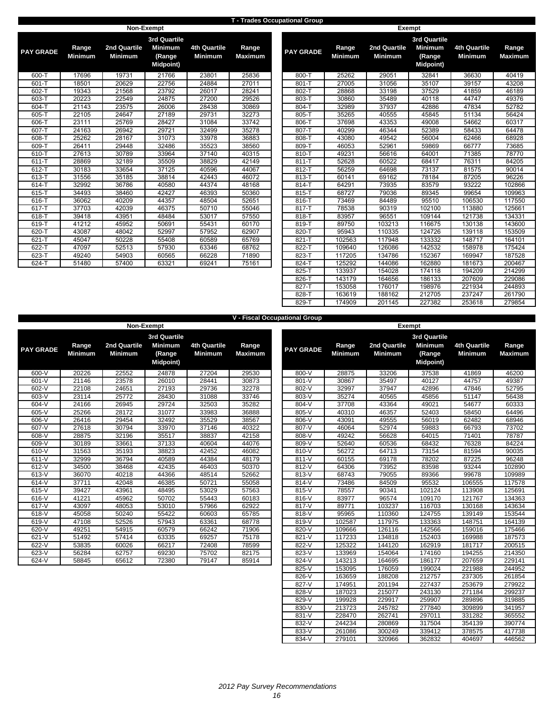#### **T - Trades Occupational Group**

|                  |                         | Non-Exempt                     |                                                                      |                                       |                         |                  |                         |                                | <b>Exempt</b>             |
|------------------|-------------------------|--------------------------------|----------------------------------------------------------------------|---------------------------------------|-------------------------|------------------|-------------------------|--------------------------------|---------------------------|
| <b>PAY GRADE</b> | Range<br><b>Minimum</b> | 2nd Quartile<br><b>Minimum</b> | <b>3rd Quartile</b><br><b>Minimum</b><br>(Range<br><b>Midpoint</b> ) | <b>4th Quartile</b><br><b>Minimum</b> | Range<br><b>Maximum</b> | <b>PAY GRADE</b> | Range<br><b>Minimum</b> | 2nd Quartile<br><b>Minimum</b> | 3r <sub>c</sub><br>M<br>M |
| 600-T            | 17696                   | 19731                          | 21766                                                                | 23801                                 | 25836                   | 800-T            | 25262                   | 29051                          |                           |
| $601 - T$        | 18501                   | 20629                          | 22756                                                                | 24884                                 | 27011                   | $801 - T$        | 27005                   | 31056                          |                           |
| 602-T            | 19343                   | 21568                          | 23792                                                                | 26017                                 | 28241                   | 802-T            | 28868                   | 33198                          |                           |
| 603-T            | 20223                   | 22549                          | 24875                                                                | 27200                                 | 29526                   | 803-T            | 30860                   | 35489                          |                           |
| 604-T            | 21143                   | 23575                          | 26006                                                                | 28438                                 | 30869                   | 804-T            | 32989                   | 37937                          |                           |
| 605-T            | 22105                   | 24647                          | 27189                                                                | 29731                                 | 32273                   | 805-T            | 35265                   | 40555                          |                           |
| 606-T            | 23111                   | 25769                          | 28427                                                                | 31084                                 | 33742                   | 806-T            | 37698                   | 43353                          |                           |
| 607-T            | 24163                   | 26942                          | 29721                                                                | 32499                                 | 35278                   | 807-T            | 40299                   | 46344                          |                           |
| 608-T            | 25262                   | 28167                          | 31073                                                                | 33978                                 | 36883                   | 808-T            | 43080                   | 49542                          |                           |
| 609-T            | 26411                   | 29448                          | 32486                                                                | 35523                                 | 38560                   | 809-T            | 46053                   | 52961                          |                           |
| 610-T            | 27613                   | 30789                          | 33964                                                                | 37140                                 | 40315                   | 810-T            | 49231                   | 56616                          |                           |
| $611 - T$        | 28869                   | 32189                          | 35509                                                                | 38829                                 | 42149                   | $811 - T$        | 52628                   | 60522                          |                           |
| 612-T            | 30183                   | 33654                          | 37125                                                                | 40596                                 | 44067                   | 812-T            | 56259                   | 64698                          |                           |
| 613-T            | 31556                   | 35185                          | 38814                                                                | 42443                                 | 46072                   | 813-T            | 60141                   | 69162                          |                           |
| 614-T            | 32992                   | 36786                          | 40580                                                                | 44374                                 | 48168                   | 814-T            | 64291                   | 73935                          |                           |
| 615-T            | 34493                   | 38460                          | 42427                                                                | 46393                                 | 50360                   | 815-T            | 68727                   | 79036                          |                           |
| 616-T            | 36062                   | 40209                          | 44357                                                                | 48504                                 | 52651                   | 816-T            | 73469                   | 84489                          |                           |
| 617-T            | 37703                   | 42039                          | 46375                                                                | 50710                                 | 55046                   | 817-T            | 78538                   | 90319                          |                           |
| 618-T            | 39418                   | 43951                          | 48484                                                                | 53017                                 | 57550                   | 818-T            | 83957                   | 96551                          |                           |
| 619-T            | 41212                   | 45952                          | 50691                                                                | 55431                                 | 60170                   | 819-T            | 89750                   | 103213                         |                           |
| 620-T            | 43087                   | 48042                          | 52997                                                                | 57952                                 | 62907                   | 820-T            | 95943                   | 110335                         |                           |
| 621-T            | 45047                   | 50228                          | 55408                                                                | 60589                                 | 65769                   | $821 - T$        | 102563                  | 117948                         |                           |
| 622-T            | 47097                   | 52513                          | 57930                                                                | 63346                                 | 68762                   | 822-T            | 109640                  | 126086                         |                           |
| 623-T            | 49240                   | 54903                          | 60565                                                                | 66228                                 | 71890                   | 823-T            | 117205                  | 134786                         |                           |
| 624-T            | 51480                   | 57400                          | 63321                                                                | 69241                                 | 75161                   | 824-T            | 125292                  | 144086                         |                           |
|                  |                         |                                |                                                                      |                                       |                         |                  |                         |                                |                           |

| <b>GRADE</b> | Range<br>Minimum | 2nd Quartile<br><b>Minimum</b> | 3rd Quartile<br><b>Minimum</b><br>(Range<br><b>Midpoint)</b> | 4th Quartile<br><b>Minimum</b> | Range<br><b>Maximum</b> | <b>PAY GRADE</b> | Range<br><b>Minimum</b> | 2nd Quartile<br><b>Minimum</b> | 3rd Quartile<br><b>Minimum</b><br>(Range<br><b>Midpoint)</b> | <b>4th Quartile</b><br>Minimum | Range<br><b>Maximum</b> |
|--------------|------------------|--------------------------------|--------------------------------------------------------------|--------------------------------|-------------------------|------------------|-------------------------|--------------------------------|--------------------------------------------------------------|--------------------------------|-------------------------|
| 600-T        | 17696            | 19731                          | 21766                                                        | 23801                          | 25836                   | 800-T            | 25262                   | 29051                          | 32841                                                        | 36630                          | 40419                   |
| 601-T        | 18501            | 20629                          | 22756                                                        | 24884                          | 27011                   | 801-T            | 27005                   | 31056                          | 35107                                                        | 39157                          | 43208                   |
| 602-T        | 19343            | 21568                          | 23792                                                        | 26017                          | 28241                   | 802-T            | 28868                   | 33198                          | 37529                                                        | 41859                          | 46189                   |
| 603-T        | 20223            | 22549                          | 24875                                                        | 27200                          | 29526                   | 803-T            | 30860                   | 35489                          | 40118                                                        | 44747                          | 49376                   |
| 604-T        | 21143            | 23575                          | 26006                                                        | 28438                          | 30869                   | 804-T            | 32989                   | 37937                          | 42886                                                        | 47834                          | 52782                   |
| 605-T        | 22105            | 24647                          | 27189                                                        | 29731                          | 32273                   | 805-T            | 35265                   | 40555                          | 45845                                                        | 51134                          | 56424                   |
| 606-T        | 23111            | 25769                          | 28427                                                        | 31084                          | 33742                   | 806-T            | 37698                   | 43353                          | 49008                                                        | 54662                          | 60317                   |
| 607-T        | 24163            | 26942                          | 29721                                                        | 32499                          | 35278                   | 807-T            | 40299                   | 46344                          | 52389                                                        | 58433                          | 64478                   |
| 608-T        | 25262            | 28167                          | 31073                                                        | 33978                          | 36883                   | 808-T            | 43080                   | 49542                          | 56004                                                        | 62466                          | 68928                   |
| $609 - T$    | 26411            | 29448                          | 32486                                                        | 35523                          | 38560                   | 809-T            | 46053                   | 52961                          | 59869                                                        | 66777                          | 73685                   |
| 610-T        | 27613            | 30789                          | 33964                                                        | 37140                          | 40315                   | 810-T            | 49231                   | 56616                          | 64001                                                        | 71385                          | 78770                   |
| 611-T        | 28869            | 32189                          | 35509                                                        | 38829                          | 42149                   | $811 - T$        | 52628                   | 60522                          | 68417                                                        | 76311                          | 84205                   |
| 612-T        | 30183            | 33654                          | 37125                                                        | 40596                          | 44067                   | 812-T            | 56259                   | 64698                          | 73137                                                        | 81575                          | 90014                   |
| 613-T        | 31556            | 35185                          | 38814                                                        | 42443                          | 46072                   | 813-T            | 60141                   | 69162                          | 78184                                                        | 87205                          | 96226                   |
| 614-T        | 32992            | 36786                          | 40580                                                        | 44374                          | 48168                   | 814-T            | 64291                   | 73935                          | 83579                                                        | 93222                          | 102866                  |
| 615-T        | 34493            | 38460                          | 42427                                                        | 46393                          | 50360                   | 815-T            | 68727                   | 79036                          | 89345                                                        | 99654                          | 109963                  |
| $616 - T$    | 36062            | 40209                          | 44357                                                        | 48504                          | 52651                   | 816-T            | 73469                   | 84489                          | 95510                                                        | 106530                         | 117550                  |
| 617-T        | 37703            | 42039                          | 46375                                                        | 50710                          | 55046                   | 817-T            | 78538                   | 90319                          | 102100                                                       | 113880                         | 125661                  |
| 618-T        | 39418            | 43951                          | 48484                                                        | 53017                          | 57550                   | 818-T            | 83957                   | 96551                          | 109144                                                       | 121738                         | 134331                  |
| $619 - T$    | 41212            | 45952                          | 50691                                                        | 55431                          | 60170                   | 819-T            | 89750                   | 103213                         | 116675                                                       | 130138                         | 143600                  |
| 620-T        | 43087            | 48042                          | 52997                                                        | 57952                          | 62907                   | 820-T            | 95943                   | 110335                         | 124726                                                       | 139118                         | 153509                  |
| $621 - T$    | 45047            | 50228                          | 55408                                                        | 60589                          | 65769                   | $821 - T$        | 102563                  | 117948                         | 133332                                                       | 148717                         | 164101                  |
| 622-T        | 47097            | 52513                          | 57930                                                        | 63346                          | 68762                   | 822-T            | 109640                  | 126086                         | 142532                                                       | 158978                         | 175424                  |
| $623 - T$    | 49240            | 54903                          | 60565                                                        | 66228                          | 71890                   | 823-T            | 117205                  | 134786                         | 152367                                                       | 169947                         | 187528                  |
| 624-T        | 51480            | 57400                          | 63321                                                        | 69241                          | 75161                   | 824-T            | 125292                  | 144086                         | 162880                                                       | 181673                         | 200467                  |
|              |                  |                                |                                                              |                                |                         | 825-T            | 133937                  | 154028                         | 174118                                                       | 194209                         | 214299                  |
|              |                  |                                |                                                              |                                |                         | 826-T            | 143179                  | 164656                         | 186133                                                       | 207609                         | 229086                  |
|              |                  |                                |                                                              |                                |                         | 827-T            | 153058                  | 176017                         | 198976                                                       | 221934                         | 244893                  |
|              |                  |                                |                                                              |                                |                         | 828-T            | 163619                  | 188162                         | 212705                                                       | 237247                         | 261790                  |
|              |                  |                                |                                                              |                                |                         | 829-T            | 174909                  | 201145                         | 227382                                                       | 253618                         | 279854                  |

|                  |                         |                                |                                                                     |                                       |                         | <b>V - Fiscal Occupational Group</b> |                         |                                |                 |
|------------------|-------------------------|--------------------------------|---------------------------------------------------------------------|---------------------------------------|-------------------------|--------------------------------------|-------------------------|--------------------------------|-----------------|
|                  |                         | Non-Exempt                     |                                                                     |                                       |                         |                                      |                         | <b>Exempt</b>                  |                 |
| <b>PAY GRADE</b> | Range<br><b>Minimum</b> | 2nd Quartile<br><b>Minimum</b> | <b>3rd Quartile</b><br><b>Minimum</b><br>(Range<br><b>Midpoint)</b> | <b>4th Quartile</b><br><b>Minimum</b> | Range<br><b>Maximum</b> | <b>PAY GRADE</b>                     | Range<br><b>Minimum</b> | 2nd Quartile<br><b>Minimum</b> | 3r <sub>c</sub> |
| 600-V            | 20226                   | 22552                          | 24878                                                               | 27204                                 | 29530                   | 800-V                                | 28875                   | 33206                          |                 |
| $601 - V$        | 21146                   | 23578                          | 26010                                                               | 28441                                 | 30873                   | $801-V$                              | 30867                   | 35497                          |                 |
| $602-V$          | 22108                   | 24651                          | 27193                                                               | 29736                                 | 32278                   | $802-V$                              | 32997                   | 37947                          |                 |
| 603-V            | 23114                   | 25772                          | 28430                                                               | 31088                                 | 33746                   | 803-V                                | 35274                   | 40565                          |                 |
| 604-V            | 24166                   | 26945                          | 29724                                                               | 32503                                 | 35282                   | 804-V                                | 37708                   | 43364                          |                 |
| $605-V$          | 25266                   | 28172                          | 31077                                                               | 33983                                 | 36888                   | 805-V                                | 40310                   | 46357                          |                 |
| 606-V            | 26416                   | 29454                          | 32492                                                               | 35529                                 | 38567                   | 806-V                                | 43091                   | 49555                          |                 |
| 607-V            | 27618                   | 30794                          | 33970                                                               | 37146                                 | 40322                   | 807-V                                | 46064                   | 52974                          |                 |
| $608-V$          | 28875                   | 32196                          | 35517                                                               | 38837                                 | 42158                   | $808-V$                              | 49242                   | 56628                          |                 |
| 609-V            | 30189                   | 33661                          | 37133                                                               | 40604                                 | 44076                   | 809-V                                | 52640                   | 60536                          |                 |
| 610-V            | 31563                   | 35193                          | 38823                                                               | 42452                                 | 46082                   | 810-V                                | 56272                   | 64713                          |                 |
| $611-V$          | 32999                   | 36794                          | 40589                                                               | 44384                                 | 48179                   | $811-V$                              | 60155                   | 69178                          |                 |
| $612-V$          | 34500                   | 38468                          | 42435                                                               | 46403                                 | 50370                   | 812-V                                | 64306                   | 73952                          |                 |
| $613-V$          | 36070                   | 40218                          | 44366                                                               | 48514                                 | 52662                   | 813-V                                | 68743                   | 79055                          |                 |
| $614-V$          | 37711                   | 42048                          | 46385                                                               | 50721                                 | 55058                   | 814-V                                | 73486                   | 84509                          |                 |
| $615-V$          | 39427                   | 43961                          | 48495                                                               | 53029                                 | 57563                   | 815-V                                | 78557                   | 90341                          |                 |
| 616-V            | 41221                   | 45962                          | 50702                                                               | 55443                                 | 60183                   | 816-V                                | 83977                   | 96574                          |                 |
| $617-V$          | 43097                   | 48053                          | 53010                                                               | 57966                                 | 62922                   | $817 - V$                            | 89771                   | 103237                         |                 |
| $618-V$          | 45058                   | 50240                          | 55422                                                               | 60603                                 | 65785                   | 818-V                                | 95965                   | 110360                         |                 |
| 619-V            | 47108                   | 52526                          | 57943                                                               | 63361                                 | 68778                   | 819-V                                | 102587                  | 117975                         |                 |
| 620-V            | 49251                   | 54915                          | 60579                                                               | 66242                                 | 71906                   | 820-V                                | 109666                  | 126116                         |                 |
| $621-V$          | 51492                   | 57414                          | 63335                                                               | 69257                                 | 75178                   | 821-V                                | 117233                  | 134818                         |                 |
| 622-V            | 53835                   | 60026                          | 66217                                                               | 72408                                 | 78599                   | 822-V                                | 125322                  | 144120                         |                 |
| 623-V            | 56284                   | 62757                          | 69230                                                               | 75702                                 | 82175                   | 823-V                                | 133969                  | 154064                         |                 |
| 624-V            | 58845                   | 65612                          | 72380                                                               | 79147                                 | 85914                   | 824-V                                | 143213                  | 164695                         |                 |

|              |                         | <b>Non-Exempt</b>              |                                              |                                       |                         |                  |                         | Exempt                         |                                              |                                |                         |
|--------------|-------------------------|--------------------------------|----------------------------------------------|---------------------------------------|-------------------------|------------------|-------------------------|--------------------------------|----------------------------------------------|--------------------------------|-------------------------|
| 3rd Quartile |                         |                                |                                              |                                       |                         |                  |                         |                                | 3rd Quartile                                 |                                |                         |
| <b>GRADE</b> | Range<br><b>Minimum</b> | 2nd Quartile<br><b>Minimum</b> | <b>Minimum</b><br>(Range<br><b>Midpoint)</b> | <b>4th Quartile</b><br><b>Minimum</b> | Range<br><b>Maximum</b> | <b>PAY GRADE</b> | Range<br><b>Minimum</b> | 2nd Quartile<br><b>Minimum</b> | <b>Minimum</b><br>(Range<br><b>Midpoint)</b> | 4th Quartile<br><b>Minimum</b> | Range<br><b>Maximum</b> |
| 600-V        | 20226                   | 22552                          | 24878                                        | 27204                                 | 29530                   | 800-V            | 28875                   | 33206                          | 37538                                        | 41869                          | 46200                   |
| 601-V        | 21146                   | 23578                          | 26010                                        | 28441                                 | 30873                   | 801-V            | 30867                   | 35497                          | 40127                                        | 44757                          | 49387                   |
| $602 - V$    | 22108                   | 24651                          | 27193                                        | 29736                                 | 32278                   | 802-V            | 32997                   | 37947                          | 42896                                        | 47846                          | 52795                   |
| 603-V        | 23114                   | 25772                          | 28430                                        | 31088                                 | 33746                   | 803-V            | 35274                   | 40565                          | 45856                                        | 51147                          | 56438                   |
| $604 - V$    | 24166                   | 26945                          | 29724                                        | 32503                                 | 35282                   | 804-V            | 37708                   | 43364                          | 49021                                        | 54677                          | 60333                   |
| 605-V        | 25266                   | 28172                          | 31077                                        | 33983                                 | 36888                   | 805-V            | 40310                   | 46357                          | 52403                                        | 58450                          | 64496                   |
| 606-V        | 26416                   | 29454                          | 32492                                        | 35529                                 | 38567                   | 806-V            | 43091                   | 49555                          | 56019                                        | 62482                          | 68946                   |
| $607 - V$    | 27618                   | 30794                          | 33970                                        | 37146                                 | 40322                   | 807-V            | 46064                   | 52974                          | 59883                                        | 66793                          | 73702                   |
| $608 - V$    | 28875                   | 32196                          | 35517                                        | 38837                                 | 42158                   | 808-V            | 49242                   | 56628                          | 64015                                        | 71401                          | 78787                   |
| 609-V        | 30189                   | 33661                          | 37133                                        | 40604                                 | 44076                   | $809-V$          | 52640                   | 60536                          | 68432                                        | 76328                          | 84224                   |
| $610 - V$    | 31563                   | 35193                          | 38823                                        | 42452                                 | 46082                   | 810-V            | 56272                   | 64713                          | 73154                                        | 81594                          | 90035                   |
| 611-V        | 32999                   | 36794                          | 40589                                        | 44384                                 | 48179                   | $811 - V$        | 60155                   | 69178                          | 78202                                        | 87225                          | 96248                   |
| 612-V        | 34500                   | 38468                          | 42435                                        | 46403                                 | 50370                   | 812-V            | 64306                   | 73952                          | 83598                                        | 93244                          | 102890                  |
| $613-V$      | 36070                   | 40218                          | 44366                                        | 48514                                 | 52662                   | 813-V            | 68743                   | 79055                          | 89366                                        | 99678                          | 109989                  |
| 614-V        | 37711                   | 42048                          | 46385                                        | 50721                                 | 55058                   | 814-V            | 73486                   | 84509                          | 95532                                        | 106555                         | 117578                  |
| $615-V$      | 39427                   | 43961                          | 48495                                        | 53029                                 | 57563                   | 815-V            | 78557                   | 90341                          | 102124                                       | 113908                         | 125691                  |
| $616 - V$    | 41221                   | 45962                          | 50702                                        | 55443                                 | 60183                   | 816-V            | 83977                   | 96574                          | 109170                                       | 121767                         | 134363                  |
| 617-V        | 43097                   | 48053                          | 53010                                        | 57966                                 | 62922                   | 817-V            | 89771                   | 103237                         | 116703                                       | 130168                         | 143634                  |
| $618 - V$    | 45058                   | 50240                          | 55422                                        | 60603                                 | 65785                   | 818-V            | 95965                   | 110360                         | 124755                                       | 139149                         | 153544                  |
| 619-V        | 47108                   | 52526                          | 57943                                        | 63361                                 | 68778                   | 819-V            | 102587                  | 117975                         | 133363                                       | 148751                         | 164139                  |
| $620 - V$    | 49251                   | 54915                          | 60579                                        | 66242                                 | 71906                   | 820-V            | 109666                  | 126116                         | 142566                                       | 159016                         | 175466                  |
| 621-V        | 51492                   | 57414                          | 63335                                        | 69257                                 | 75178                   | 821-V            | 117233                  | 134818                         | 152403                                       | 169988                         | 187573                  |
| 622-V        | 53835                   | 60026                          | 66217                                        | 72408                                 | 78599                   | 822-V            | 125322                  | 144120                         | 162919                                       | 181717                         | 200515                  |
| 623-V        | 56284                   | 62757                          | 69230                                        | 75702                                 | 82175                   | 823-V            | 133969                  | 154064                         | 174160                                       | 194255                         | 214350                  |
| 624-V        | 58845                   | 65612                          | 72380                                        | 79147                                 | 85914                   | 824-V            | 143213                  | 164695                         | 186177                                       | 207659                         | 229141                  |
|              |                         |                                |                                              |                                       |                         | 825-V            | 153095                  | 176059                         | 199024                                       | 221988                         | 244952                  |
|              |                         |                                |                                              |                                       |                         | 826-V            | 163659                  | 188208                         | 212757                                       | 237305                         | 261854                  |
|              |                         |                                |                                              |                                       |                         | 827-V            | 174951                  | 201194                         | 227437                                       | 253679                         | 279922                  |
|              |                         |                                |                                              |                                       |                         | $828 - V$        | 187023                  | 215077                         | 243130                                       | 271184                         | 299237                  |
|              |                         |                                |                                              |                                       |                         | 829-V            | 199928                  | 229917                         | 259907                                       | 289896                         | 319885                  |
|              |                         |                                |                                              |                                       |                         | 830-V            | 213723                  | 245782                         | 277840                                       | 309899                         | 341957                  |
|              |                         |                                |                                              |                                       |                         | 831-V            | 228470                  | 262741                         | 297011                                       | 331282                         | 365552                  |
|              |                         |                                |                                              |                                       |                         | 832-V            | 244234                  | 280869                         | 317504                                       | 354139                         | 390774                  |
|              |                         |                                |                                              |                                       |                         | 833-V            | 261086                  | 300249                         | 339412                                       | 378575                         | 417738                  |
|              |                         |                                |                                              |                                       |                         | 834-V            | 279101                  | 320966                         | 362832                                       | 404697                         | 446562                  |